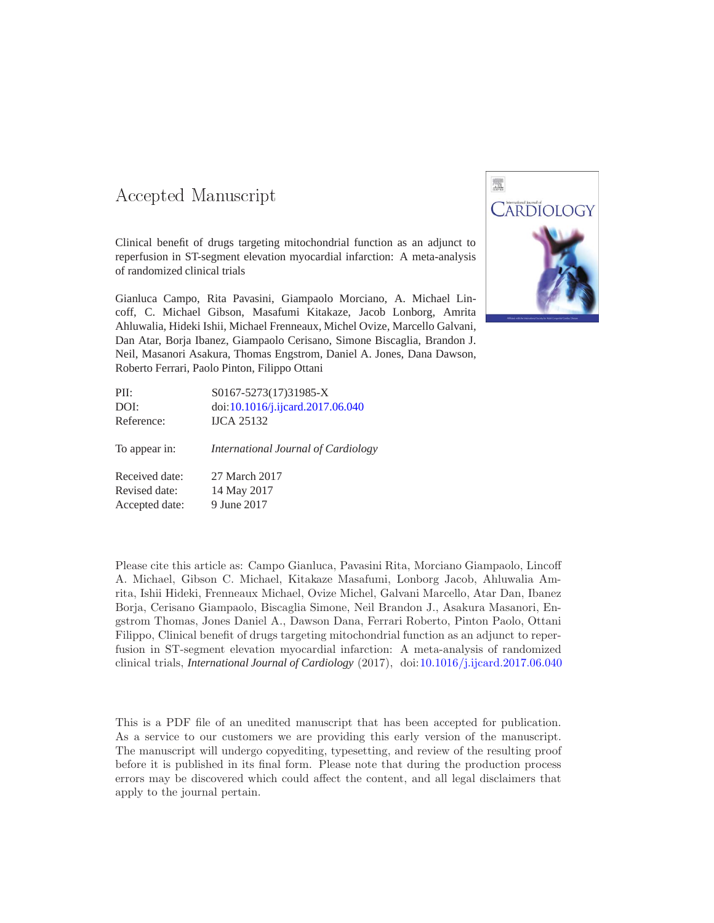### -- -

Clinical benefit of drugs targeting mitochondrial function as an adjunct to reperfusion in ST-segment elevation myocardial infarction: A meta-analysis of randomized clinical trials

Gianluca Campo, Rita Pavasini, Giampaolo Morciano, A. Michael Lincoff, C. Michael Gibson, Masafumi Kitakaze, Jacob Lonborg, Amrita Ahluwalia, Hideki Ishii, Michael Frenneaux, Michel Ovize, Marcello Galvani, Dan Atar, Borja Ibanez, Giampaolo Cerisano, Simone Biscaglia, Brandon J. Neil, Masanori Asakura, Thomas Engstrom, Daniel A. Jones, Dana Dawson, Roberto Ferrari, Paolo Pinton, Filippo Ottani



| PII:           | S0167-5273(17)31985-X               |
|----------------|-------------------------------------|
| DOI:           | doi:10.1016/j.ijcard.2017.06.040    |
| Reference:     | <b>IJCA 25132</b>                   |
| To appear in:  | International Journal of Cardiology |
| Received date: | 27 March 2017                       |
| Revised date:  | 14 May 2017                         |
| Accepted date: | 9 June 2017                         |

Please cite this article as: Campo Gianluca, Pavasini Rita, Morciano Giampaolo, Lincoff A. Michael, Gibson C. Michael, Kitakaze Masafumi, Lonborg Jacob, Ahluwalia Amrita, Ishii Hideki, Frenneaux Michael, Ovize Michel, Galvani Marcello, Atar Dan, Ibanez Borja, Cerisano Giampaolo, Biscaglia Simone, Neil Brandon J., Asakura Masanori, Engstrom Thomas, Jones Daniel A., Dawson Dana, Ferrari Roberto, Pinton Paolo, Ottani Filippo, Clinical benefit of drugs targeting mitochondrial function as an adjunct to reperfusion in ST-segment elevation myocardial infarction: A meta-analysis of randomized clinical trials, *International Journal of Cardiology* (2017), doi[:10.1016/j.ijcard.2017.06.040](http://dx.doi.org/10.1016/j.ijcard.2017.06.040)

This is a PDF file of an unedited manuscript that has been accepted for publication. As a service to our customers we are providing this early version of the manuscript. The manuscript will undergo copyediting, typesetting, and review of the resulting proof before it is published in its final form. Please note that during the production process errors may be discovered which could affect the content, and all legal disclaimers that apply to the journal pertain.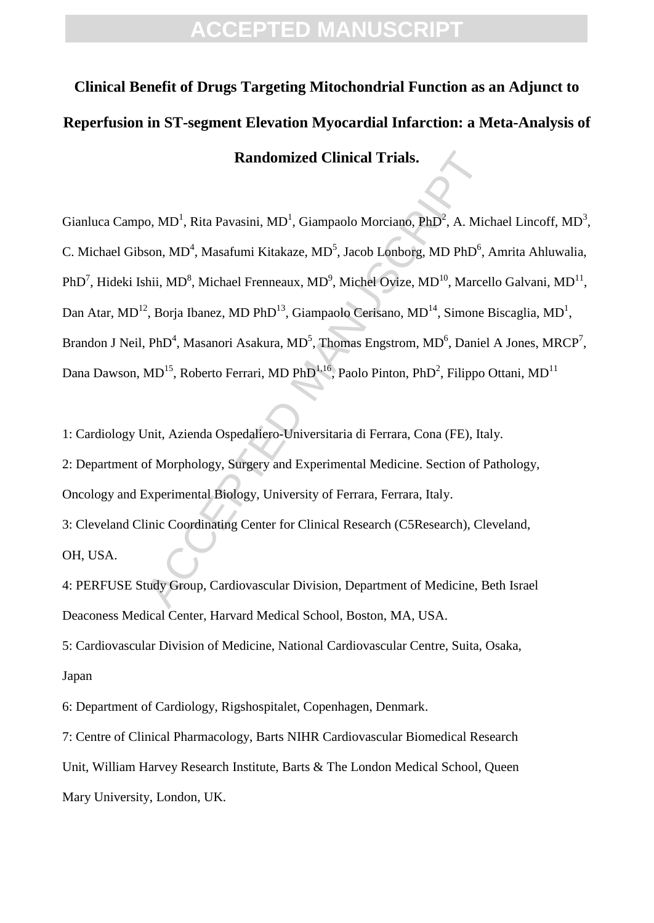# **Clinical Benefit of Drugs Targeting Mitochondrial Function as an Adjunct to Reperfusion in ST-segment Elevation Myocardial Infarction: a Meta-Analysis of Randomized Clinical Trials.**

**Randomized Clinical Trials.**<br>
0. MD<sup>1</sup>, Rita Pavasini, MD<sup>1</sup>, Giampaolo Morciano, PhD<sup>2</sup>, A. Mic<br>
son, MD<sup>4</sup>, Masafumi Kitakaze, MD<sup>5</sup>, Jacob Lonborg, MD PhD<sup>6</sup>, A.<br>
hili, MD<sup>8</sup>, Michael Frenneaux, MD<sup>9</sup>, Michel Ovize, M Gianluca Campo, MD<sup>1</sup>, Rita Pavasini, MD<sup>1</sup>, Giampaolo Morciano, PhD<sup>2</sup>, A. Michael Lincoff, MD<sup>3</sup>, C. Michael Gibson, MD<sup>4</sup>, Masafumi Kitakaze, MD<sup>5</sup>, Jacob Lonborg, MD PhD<sup>6</sup>, Amrita Ahluwalia, PhD<sup>7</sup>, Hideki Ishii, MD<sup>8</sup>, Michael Frenneaux, MD<sup>9</sup>, Michel Ovize, MD<sup>10</sup>, Marcello Galvani, MD<sup>11</sup>, Dan Atar, MD<sup>12</sup>, Borja Ibanez, MD PhD<sup>13</sup>, Giampaolo Cerisano, MD<sup>14</sup>, Simone Biscaglia, MD<sup>1</sup>, Brandon J Neil, PhD<sup>4</sup>, Masanori Asakura, MD<sup>5</sup>, Thomas Engstrom, MD<sup>6</sup>, Daniel A Jones, MRCP<sup>7</sup>, Dana Dawson, MD<sup>15</sup>, Roberto Ferrari, MD PhD<sup>1,16</sup>, Paolo Pinton, PhD<sup>2</sup>, Filippo Ottani, MD<sup>11</sup>

1: Cardiology Unit, Azienda Ospedaliero-Universitaria di Ferrara, Cona (FE), Italy.

2: Department of Morphology, Surgery and Experimental Medicine. Section of Pathology,

Oncology and Experimental Biology, University of Ferrara, Ferrara, Italy.

3: Cleveland Clinic Coordinating Center for Clinical Research (C5Research), Cleveland, OH, USA.

4: PERFUSE Study Group, Cardiovascular Division, Department of Medicine, Beth Israel Deaconess Medical Center, Harvard Medical School, Boston, MA, USA.

5: Cardiovascular Division of Medicine, National Cardiovascular Centre, Suita, Osaka, Japan

6: Department of Cardiology, Rigshospitalet, Copenhagen, Denmark.

7: Centre of Clinical Pharmacology, Barts NIHR Cardiovascular Biomedical Research Unit, William Harvey Research Institute, Barts & The London Medical School, Queen Mary University, London, UK.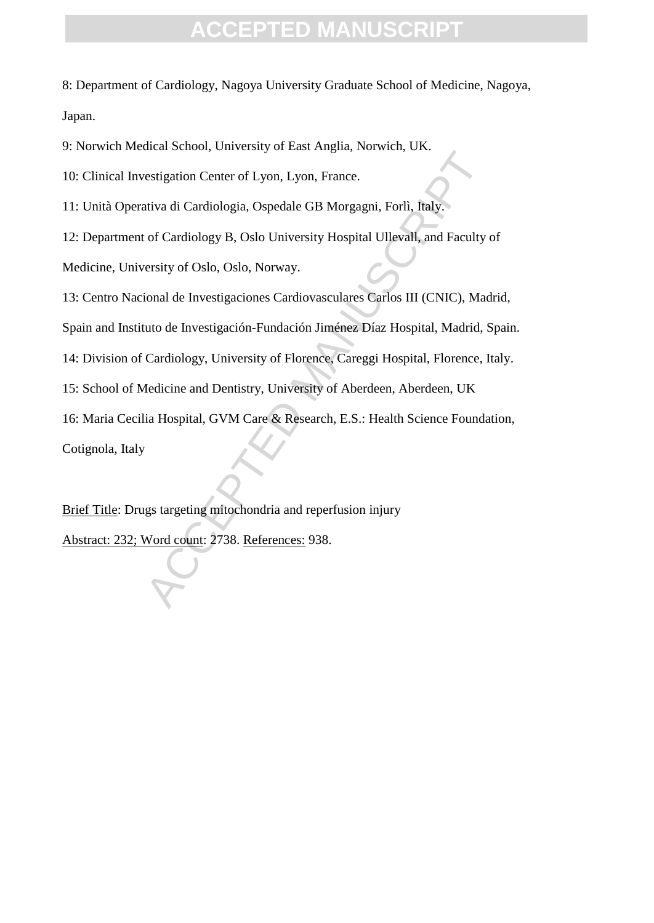8: Department of Cardiology, Nagoya University Graduate School of Medicine, Nagoya, Japan.

9: Norwich Medical School, University of East Anglia, Norwich, UK.

10: Clinical Investigation Center of Lyon, Lyon, France.

11: Unità Operativa di Cardiologia, Ospedale GB Morgagni, Forlì, Italy.

12: Department of Cardiology B, Oslo University Hospital Ullevall, and Faculty of

Medicine, University of Oslo, Oslo, Norway.

13: Centro Nacional de Investigaciones Cardiovasculares Carlos III (CNIC), Madrid,

Spain and Instituto de Investigación-Fundación Jiménez Díaz Hospital, Madrid, Spain.

14: Division of Cardiology, University of Florence, Careggi Hospital, Florence, Italy.

15: School of Medicine and Dentistry, University of Aberdeen, Aberdeen, UK

16: Maria Cecilia Hospital, GVM Care & Research, E.S.: Health Science Foundation,

Cotignola, Italy

Existigation Center of Lyon, Lyon, France.<br>
Existigation Center of Lyon, Lyon, France.<br>
Activa di Cardiologia, Ospedale GB Morgagni, Forlì, Italy.<br>
Activa di Cardiology B, Oslo University Hospital Ullevall, and Faculty<br>
Er Brief Title: Drugs targeting mitochondria and reperfusion injury Abstract: 232; Word count: 2738. References: 938.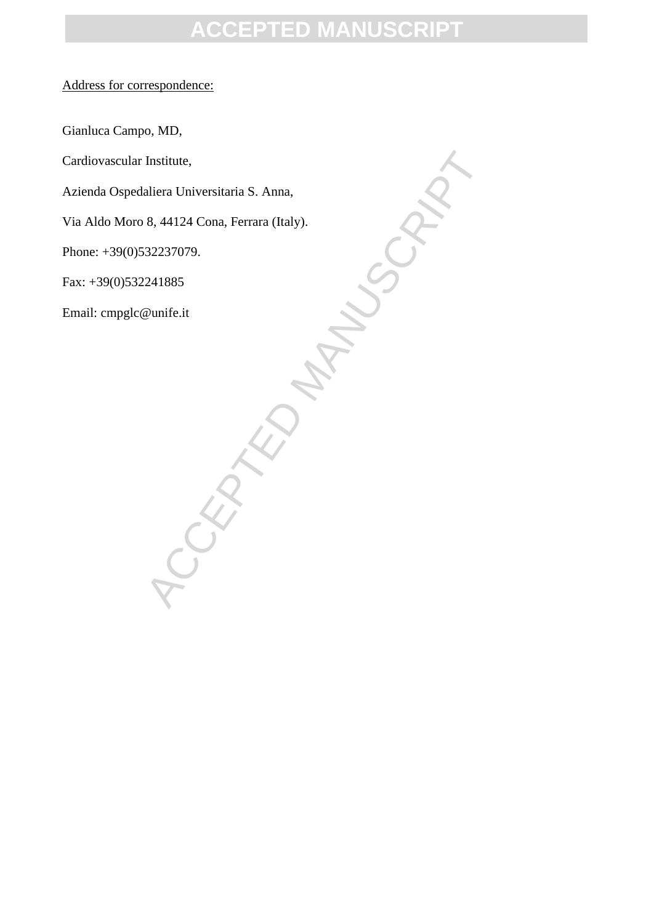### Address for correspondence:

Gianluca Campo, MD,

Cardiovascular Institute,

Azienda Ospedaliera Universitaria S. Anna,

Via Aldo Moro 8, 44124 Cona, Ferrara (Italy).

Phone: +39(0)532237079.

Fax: +39(0)532241885

Email: cmpglc@unife.it

Pedance...<br>
To 8, 44124 Cona, Ferrara (Italy).<br>
1532237079.<br>
Punife.it<br>
Punife.it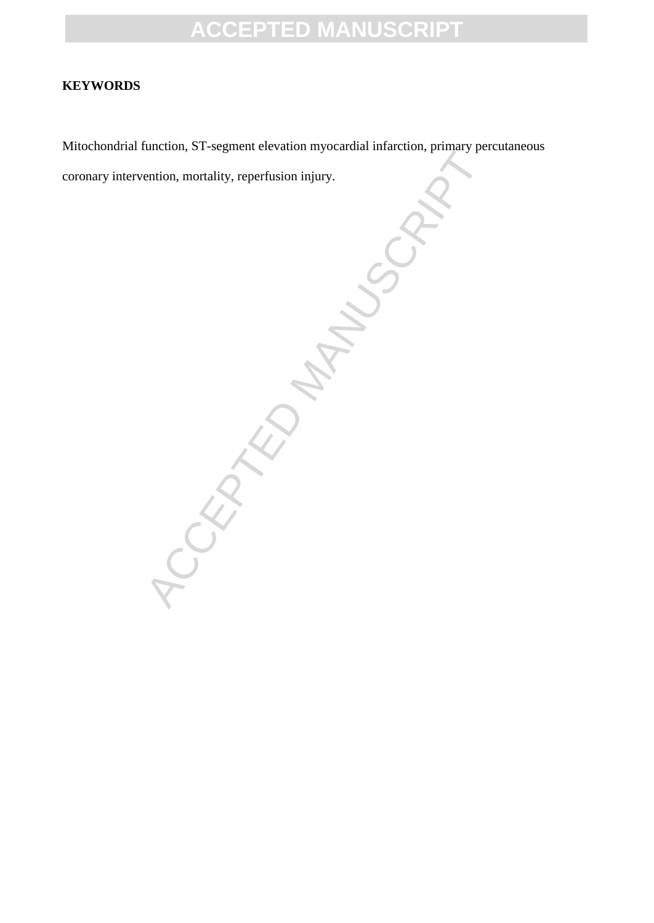### **KEYWORDS**

Mitochondrial function, ST-segment elevation myocardial infarction, primary percutaneous coronary intervention, mortality, reperfusion injury.

CCEPTED MANUSCRIPT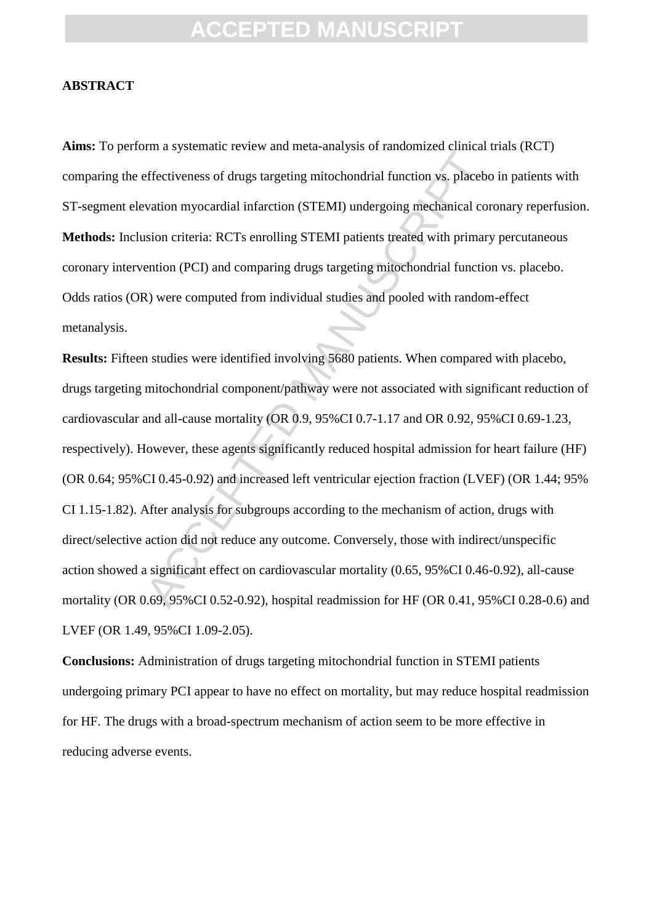#### **ABSTRACT**

**Aims:** To perform a systematic review and meta-analysis of randomized clinical trials (RCT) comparing the effectiveness of drugs targeting mitochondrial function vs. placebo in patients with ST-segment elevation myocardial infarction (STEMI) undergoing mechanical coronary reperfusion. **Methods:** Inclusion criteria: RCTs enrolling STEMI patients treated with primary percutaneous coronary intervention (PCI) and comparing drugs targeting mitochondrial function vs. placebo. Odds ratios (OR) were computed from individual studies and pooled with random-effect metanalysis.

Effectiveness of drugs targeting mitochondrial function vs. placeber diffectiveness of drugs targeting mitochondrial function vs. placeber wation myocardial infarction (STEMI) undergoing mechanical consion criteria: RCTs e **Results:** Fifteen studies were identified involving 5680 patients. When compared with placebo, drugs targeting mitochondrial component/pathway were not associated with significant reduction of cardiovascular and all-cause mortality (OR 0.9, 95%CI 0.7-1.17 and OR 0.92, 95%CI 0.69-1.23, respectively). However, these agents significantly reduced hospital admission for heart failure (HF) (OR 0.64; 95%CI 0.45-0.92) and increased left ventricular ejection fraction (LVEF) (OR 1.44; 95% CI 1.15-1.82). After analysis for subgroups according to the mechanism of action, drugs with direct/selective action did not reduce any outcome. Conversely, those with indirect/unspecific action showed a significant effect on cardiovascular mortality (0.65, 95%CI 0.46-0.92), all-cause mortality (OR 0.69, 95%CI 0.52-0.92), hospital readmission for HF (OR 0.41, 95%CI 0.28-0.6) and LVEF (OR 1.49, 95%CI 1.09-2.05).

**Conclusions:** Administration of drugs targeting mitochondrial function in STEMI patients undergoing primary PCI appear to have no effect on mortality, but may reduce hospital readmission for HF. The drugs with a broad-spectrum mechanism of action seem to be more effective in reducing adverse events.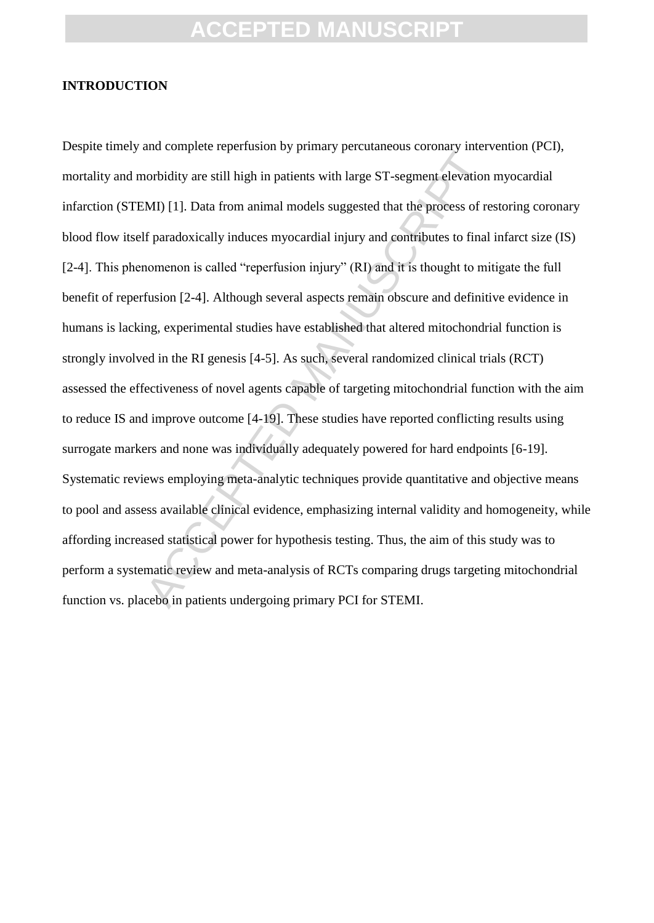#### **INTRODUCTION**

Entrarctory proteins and proteins and the process of reference in probability are still high in patients with large ST-segment elevation<br>MI) [1]. Data from animal models suggested that the process of ref paradoxically indu Despite timely and complete reperfusion by primary percutaneous coronary intervention (PCI), mortality and morbidity are still high in patients with large ST-segment elevation myocardial infarction (STEMI) [1]. Data from animal models suggested that the process of restoring coronary blood flow itself paradoxically induces myocardial injury and contributes to final infarct size (IS) [2-4]. This phenomenon is called "reperfusion injury" (RI) and it is thought to mitigate the full benefit of reperfusion [2-4]. Although several aspects remain obscure and definitive evidence in humans is lacking, experimental studies have established that altered mitochondrial function is strongly involved in the RI genesis [4-5]. As such, several randomized clinical trials (RCT) assessed the effectiveness of novel agents capable of targeting mitochondrial function with the aim to reduce IS and improve outcome [4-19]. These studies have reported conflicting results using surrogate markers and none was individually adequately powered for hard endpoints [6-19]. Systematic reviews employing meta-analytic techniques provide quantitative and objective means to pool and assess available clinical evidence, emphasizing internal validity and homogeneity, while affording increased statistical power for hypothesis testing. Thus, the aim of this study was to perform a systematic review and meta-analysis of RCTs comparing drugs targeting mitochondrial function vs. placebo in patients undergoing primary PCI for STEMI.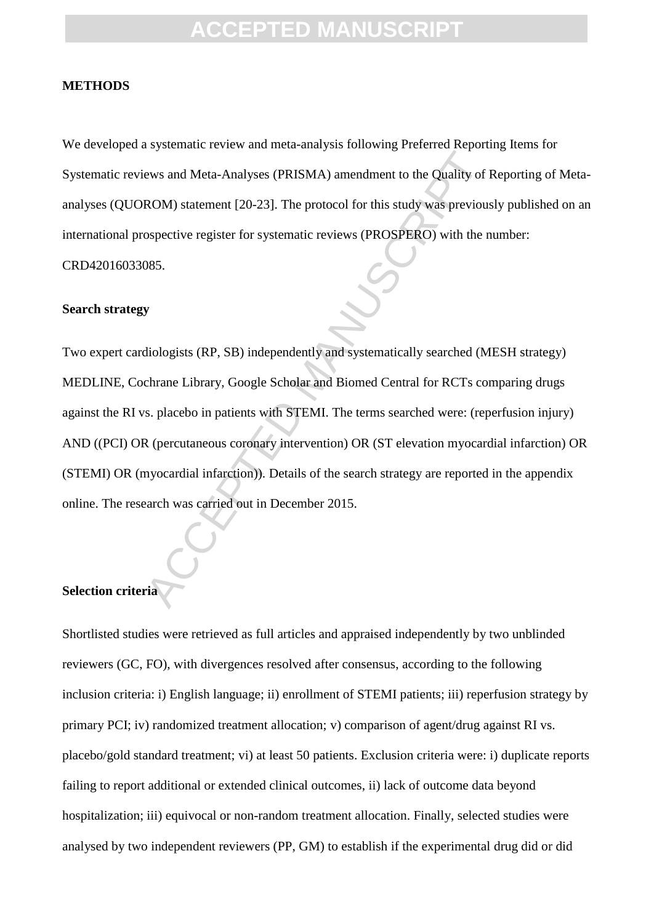#### **METHODS**

We developed a systematic review and meta-analysis following Preferred Reporting Items for Systematic reviews and Meta-Analyses (PRISMA) amendment to the Quality of Reporting of Metaanalyses (QUOROM) statement [20-23]. The protocol for this study was previously published on an international prospective register for systematic reviews (PROSPERO) with the number: CRD42016033085.

#### **Search strategy**

ews and Meta-Analyses (PRISMA) amendment to the Quality of<br>
ROM) statement [20-23]. The protocol for this study was previous<br>
ospective register for systematic reviews (PROSPERO) with the r<br>
085.<br>
y<br>
diologists (RP, SB) in Two expert cardiologists (RP, SB) independently and systematically searched (MESH strategy) MEDLINE, Cochrane Library, Google Scholar and Biomed Central for RCTs comparing drugs against the RI vs. placebo in patients with STEMI. The terms searched were: (reperfusion injury) AND ((PCI) OR (percutaneous coronary intervention) OR (ST elevation myocardial infarction) OR (STEMI) OR (myocardial infarction)). Details of the search strategy are reported in the appendix online. The research was carried out in December 2015.

### **Selection criteria**

Shortlisted studies were retrieved as full articles and appraised independently by two unblinded reviewers (GC, FO), with divergences resolved after consensus, according to the following inclusion criteria: i) English language; ii) enrollment of STEMI patients; iii) reperfusion strategy by primary PCI; iv) randomized treatment allocation; v) comparison of agent/drug against RI vs. placebo/gold standard treatment; vi) at least 50 patients. Exclusion criteria were: i) duplicate reports failing to report additional or extended clinical outcomes, ii) lack of outcome data beyond hospitalization; iii) equivocal or non-random treatment allocation. Finally, selected studies were analysed by two independent reviewers (PP, GM) to establish if the experimental drug did or did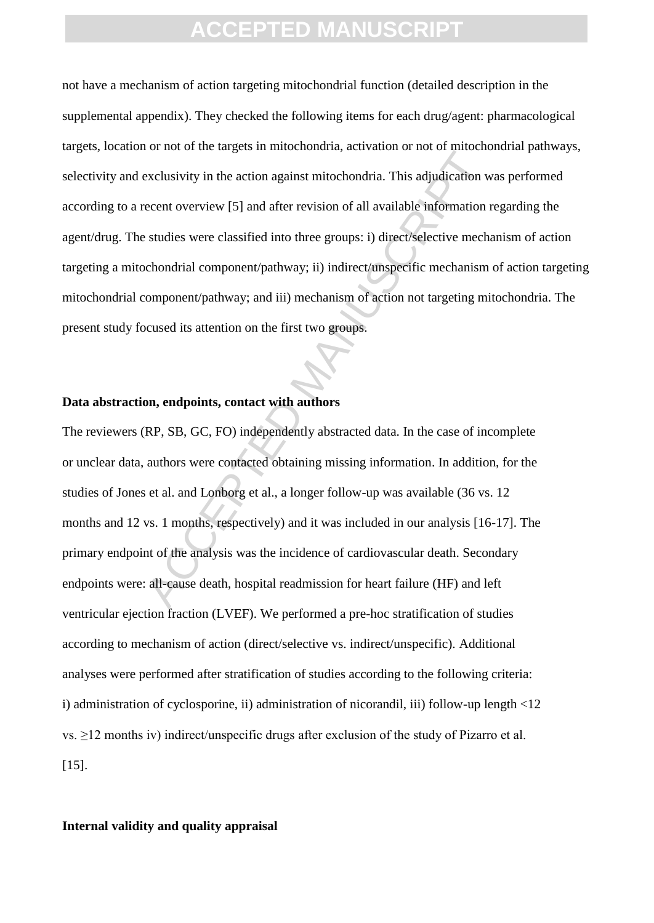ACCENSIVITY in the action against mitochondria. This adjudication vecent overview [5] and after revision of all available information studies were classified into three groups: i) direct/selective mech<br>schoolarial componen not have a mechanism of action targeting mitochondrial function (detailed description in the supplemental appendix). They checked the following items for each drug/agent: pharmacological targets, location or not of the targets in mitochondria, activation or not of mitochondrial pathways, selectivity and exclusivity in the action against mitochondria. This adjudication was performed according to a recent overview [5] and after revision of all available information regarding the agent/drug. The studies were classified into three groups: i) direct/selective mechanism of action targeting a mitochondrial component/pathway; ii) indirect/unspecific mechanism of action targeting mitochondrial component/pathway; and iii) mechanism of action not targeting mitochondria. The present study focused its attention on the first two groups.

### **Data abstraction, endpoints, contact with authors**

The reviewers (RP, SB, GC, FO) independently abstracted data. In the case of incomplete or unclear data, authors were contacted obtaining missing information. In addition, for the studies of Jones et al. and Lonborg et al., a longer follow-up was available (36 vs. 12 months and 12 vs. 1 months, respectively) and it was included in our analysis [16-17]. The primary endpoint of the analysis was the incidence of cardiovascular death. Secondary endpoints were: all-cause death, hospital readmission for heart failure (HF) and left ventricular ejection fraction (LVEF). We performed a pre-hoc stratification of studies according to mechanism of action (direct/selective vs. indirect/unspecific). Additional analyses were performed after stratification of studies according to the following criteria: i) administration of cyclosporine, ii) administration of nicorandil, iii) follow-up length <12 vs.  $\geq$ 12 months iv) indirect/unspecific drugs after exclusion of the study of Pizarro et al. [15].

#### **Internal validity and quality appraisal**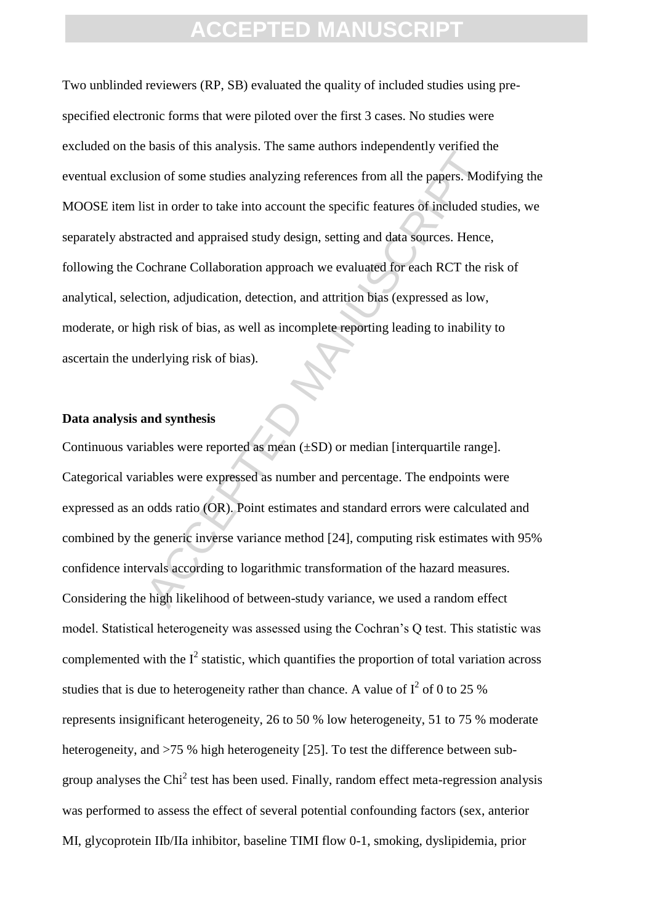Final of the anti-particle and the papers. Modes in order to take into account the specific features of included st<br>sit in order to take into account the specific features of included st<br>acted and appraised study design, s Two unblinded reviewers (RP, SB) evaluated the quality of included studies using prespecified electronic forms that were piloted over the first 3 cases. No studies were excluded on the basis of this analysis. The same authors independently verified the eventual exclusion of some studies analyzing references from all the papers. Modifying the MOOSE item list in order to take into account the specific features of included studies, we separately abstracted and appraised study design, setting and data sources. Hence, following the Cochrane Collaboration approach we evaluated for each RCT the risk of analytical, selection, adjudication, detection, and attrition bias (expressed as low, moderate, or high risk of bias, as well as incomplete reporting leading to inability to ascertain the underlying risk of bias).

### **Data analysis and synthesis**

Continuous variables were reported as mean (±SD) or median [interquartile range]. Categorical variables were expressed as number and percentage. The endpoints were expressed as an odds ratio (OR). Point estimates and standard errors were calculated and combined by the generic inverse variance method [24], computing risk estimates with 95% confidence intervals according to logarithmic transformation of the hazard measures. Considering the high likelihood of between-study variance, we used a random effect model. Statistical heterogeneity was assessed using the Cochran's Q test. This statistic was complemented with the  $I^2$  statistic, which quantifies the proportion of total variation across studies that is due to heterogeneity rather than chance. A value of  $I^2$  of 0 to 25 % represents insignificant heterogeneity, 26 to 50 % low heterogeneity, 51 to 75 % moderate heterogeneity, and  $>75$  % high heterogeneity [25]. To test the difference between subgroup analyses the  $\text{Chi}^2$  test has been used. Finally, random effect meta-regression analysis was performed to assess the effect of several potential confounding factors (sex, anterior MI, glycoprotein IIb/IIa inhibitor, baseline TIMI flow 0-1, smoking, dyslipidemia, prior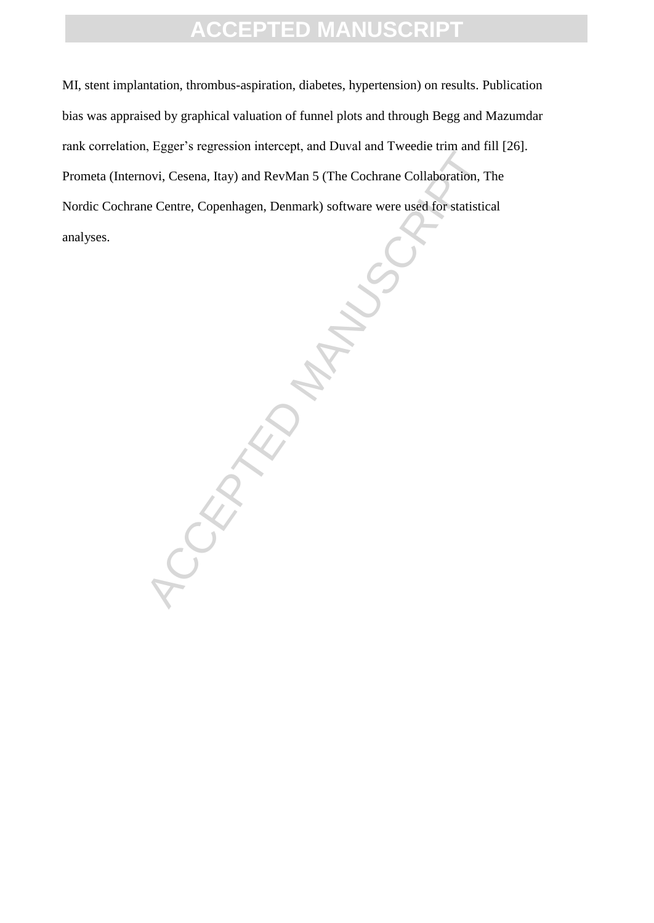MI, stent implantation, thrombus-aspiration, diabetes, hypertension) on results. Publication bias was appraised by graphical valuation of funnel plots and through Begg and Mazumdar rank correlation, Egger's regression intercept, and Duval and Tweedie trim and fill [26]. Prometa (Internovi, Cesena, Itay) and RevMan 5 (The Cochrane Collaboration, The Nordic Cochrane Centre, Copenhagen, Denmark) software were used for statistical analyses.

CCEPTED MANUSCRIPT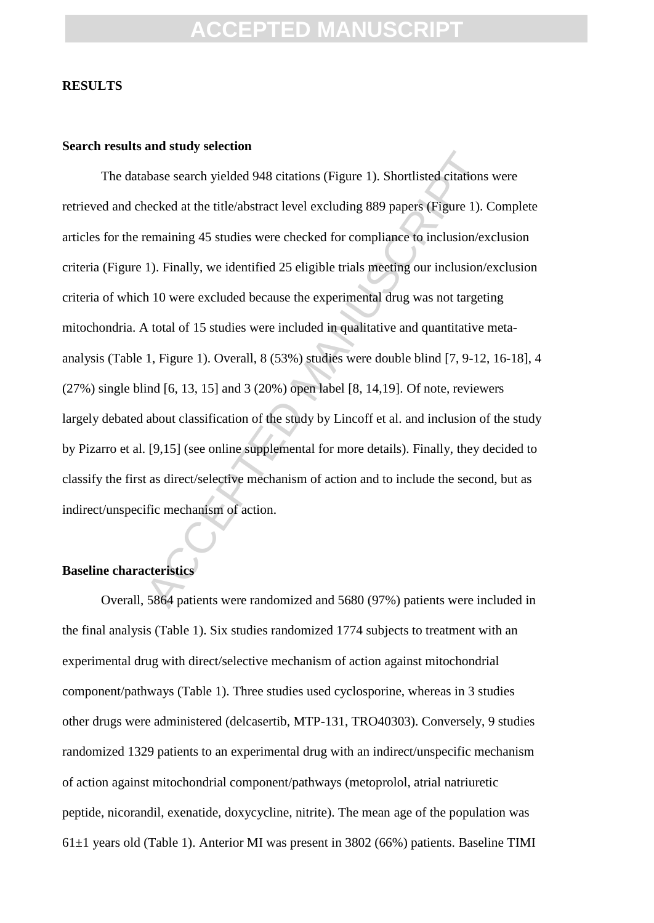#### **RESULTS**

#### **Search results and study selection**

and state) stated 948 citations (Figure 1). Shortlisted citations<br>necked at the title/abstract level excluding 889 papers (Figure 1). Comaining 45 studies were checked for compliance to inclusion/ex<br>1). Finally, we identif The database search yielded 948 citations (Figure 1). Shortlisted citations were retrieved and checked at the title/abstract level excluding 889 papers (Figure 1). Complete articles for the remaining 45 studies were checked for compliance to inclusion/exclusion criteria (Figure 1). Finally, we identified 25 eligible trials meeting our inclusion/exclusion criteria of which 10 were excluded because the experimental drug was not targeting mitochondria. A total of 15 studies were included in qualitative and quantitative metaanalysis (Table 1, Figure 1). Overall, 8 (53%) studies were double blind [7, 9-12, 16-18], 4 (27%) single blind [6, 13, 15] and 3 (20%) open label [8, 14,19]. Of note, reviewers largely debated about classification of the study by Lincoff et al. and inclusion of the study by Pizarro et al. [9,15] (see online supplemental for more details). Finally, they decided to classify the first as direct/selective mechanism of action and to include the second, but as indirect/unspecific mechanism of action.

### **Baseline characteristics**

Overall, 5864 patients were randomized and 5680 (97%) patients were included in the final analysis (Table 1). Six studies randomized 1774 subjects to treatment with an experimental drug with direct/selective mechanism of action against mitochondrial component/pathways (Table 1). Three studies used cyclosporine, whereas in 3 studies other drugs were administered (delcasertib, MTP-131, TRO40303). Conversely, 9 studies randomized 1329 patients to an experimental drug with an indirect/unspecific mechanism of action against mitochondrial component/pathways (metoprolol, atrial natriuretic peptide, nicorandil, exenatide, doxycycline, nitrite). The mean age of the population was  $61\pm1$  years old (Table 1). Anterior MI was present in 3802 (66%) patients. Baseline TIMI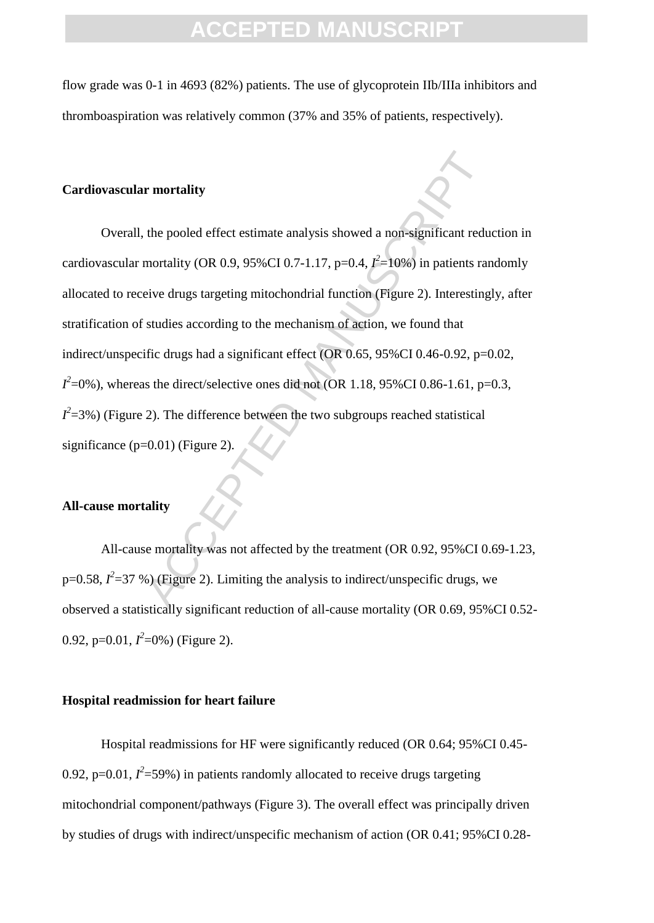flow grade was 0-1 in 4693 (82%) patients. The use of glycoprotein IIb/IIIa inhibitors and thromboaspiration was relatively common (37% and 35% of patients, respectively).

#### **Cardiovascular mortality**

**r mortality**<br>
the pooled effect estimate analysis showed a non-significant reduced mortality (OR 0.9, 95%CI 0.7-1.17, p=0.4,  $I^2$ =10%) in patients rative drugs targeting mitochondrial function (Figure 2). Interesting st Overall, the pooled effect estimate analysis showed a non-significant reduction in cardiovascular mortality (OR 0.9, 95%CI 0.7-1.17,  $p=0.4$ ,  $I^2=10%$ ) in patients randomly allocated to receive drugs targeting mitochondrial function (Figure 2). Interestingly, after stratification of studies according to the mechanism of action, we found that indirect/unspecific drugs had a significant effect (OR 0.65, 95%CI 0.46-0.92, p=0.02,  $I^2$ =0%), whereas the direct/selective ones did not (OR 1.18, 95%CI 0.86-1.61, p=0.3,  $I^2$ =3%) (Figure 2). The difference between the two subgroups reached statistical significance  $(p=0.01)$  (Figure 2).

### **All-cause mortality**

All-cause mortality was not affected by the treatment (OR 0.92, 95%CI 0.69-1.23,  $p=0.58$ ,  $I^2=37$ %) (Figure 2). Limiting the analysis to indirect/unspecific drugs, we observed a statistically significant reduction of all-cause mortality (OR 0.69, 95%CI 0.52- 0.92, p= $0.01, I^2$ = $0\%$ ) (Figure 2).

#### **Hospital readmission for heart failure**

Hospital readmissions for HF were significantly reduced (OR 0.64; 95%CI 0.45- 0.92,  $p=0.01$ ,  $I^2$ =59%) in patients randomly allocated to receive drugs targeting mitochondrial component/pathways (Figure 3). The overall effect was principally driven by studies of drugs with indirect/unspecific mechanism of action (OR 0.41; 95%CI 0.28-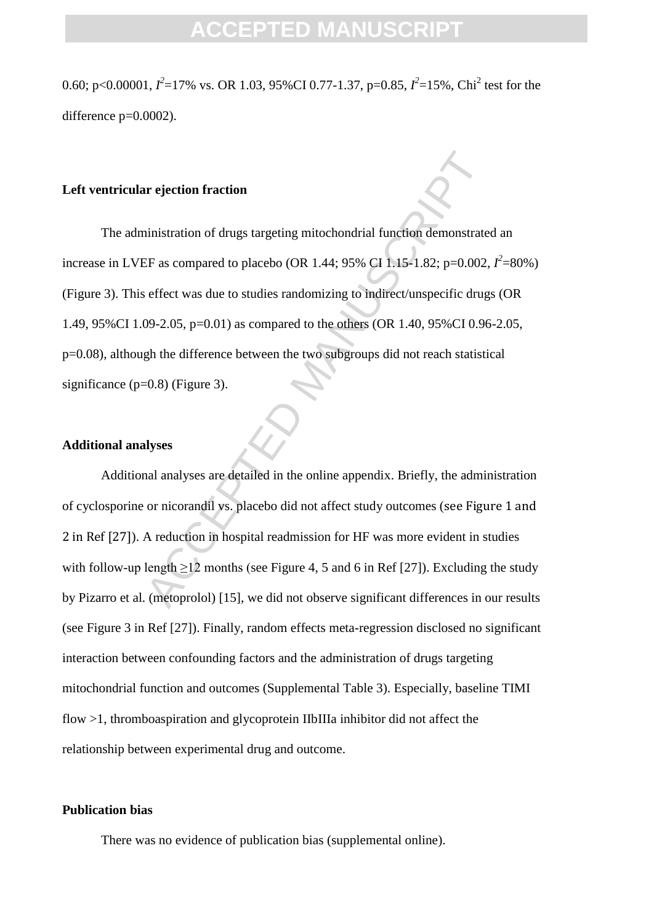0.60; p<0.00001,  $I^2$ =17% vs. OR 1.03, 95%CI 0.77-1.37, p=0.85,  $I^2$ =15%, Chi<sup>2</sup> test for the difference  $p=0.0002$ ).

#### **Left ventricular ejection fraction**

alternation of drugs targeting mitochondrial function demonstrate<br>
EF as compared to placebo (OR 1.44; 95% CI 1.15-1.82; p=0.002,<br>
effect was due to studies randomizing to indirect/unspecific drug<br>
09-2.05, p=0.01) as com The administration of drugs targeting mitochondrial function demonstrated an increase in LVEF as compared to placebo (OR 1.44; 95% CI 1.15-1.82; p=0.002,  $I^2$ =80%) (Figure 3). This effect was due to studies randomizing to indirect/unspecific drugs (OR 1.49, 95%CI 1.09-2.05, p=0.01) as compared to the others (OR 1.40, 95%CI 0.96-2.05, p=0.08), although the difference between the two subgroups did not reach statistical significance  $(p=0.8)$  (Figure 3).

### **Additional analyses**

Additional analyses are detailed in the online appendix. Briefly, the administration of cyclosporine or nicorandil vs. placebo did not affect study outcomes (see Figure 1 and 2 in Ref [27]). A reduction in hospital readmission for HF was more evident in studies with follow-up length  $\geq$ 12 months (see Figure 4, 5 and 6 in Ref [27]). Excluding the study by Pizarro et al. (metoprolol) [15], we did not observe significant differences in our results (see Figure 3 in Ref [27]). Finally, random effects meta-regression disclosed no significant interaction between confounding factors and the administration of drugs targeting mitochondrial function and outcomes (Supplemental Table 3). Especially, baseline TIMI flow >1, thromboaspiration and glycoprotein IIbIIIa inhibitor did not affect the relationship between experimental drug and outcome.

#### **Publication bias**

There was no evidence of publication bias (supplemental online).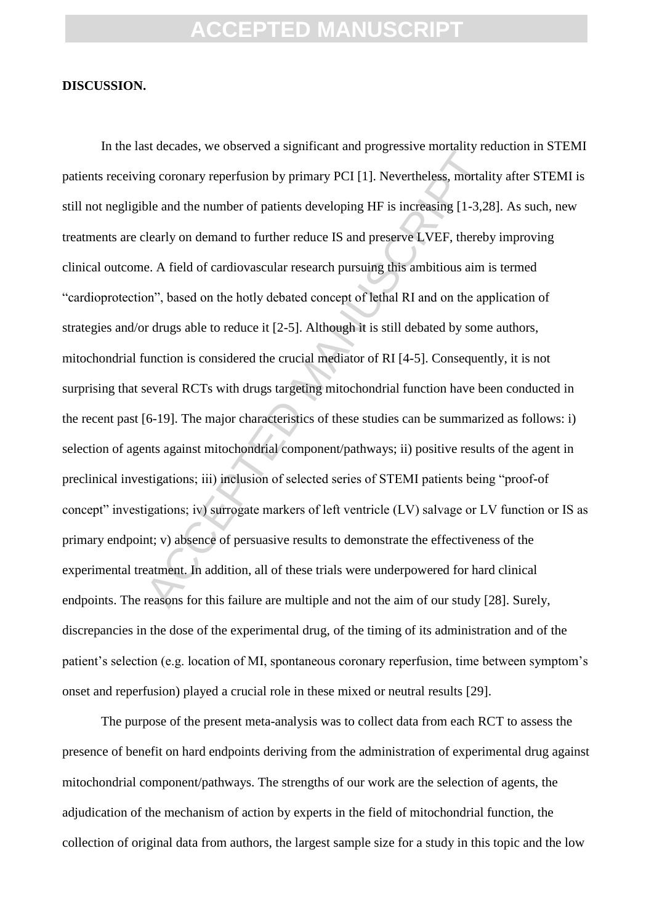#### **DISCUSSION.**

The and the number of painting and program is manifology and control and the number of patients developing HF is increasing [1-3,2]<br>clearly on demand to further reduce IS and preserve LVEF, therebe. A field of cardiovascul In the last decades, we observed a significant and progressive mortality reduction in STEMI patients receiving coronary reperfusion by primary PCI [1]. Nevertheless, mortality after STEMI is still not negligible and the number of patients developing HF is increasing [1-3,28]. As such, new treatments are clearly on demand to further reduce IS and preserve LVEF, thereby improving clinical outcome. A field of cardiovascular research pursuing this ambitious aim is termed "cardioprotection", based on the hotly debated concept of lethal RI and on the application of strategies and/or drugs able to reduce it [2-5]. Although it is still debated by some authors, mitochondrial function is considered the crucial mediator of RI [4-5]. Consequently, it is not surprising that several RCTs with drugs targeting mitochondrial function have been conducted in the recent past [6-19]. The major characteristics of these studies can be summarized as follows: i) selection of agents against mitochondrial component/pathways; ii) positive results of the agent in preclinical investigations; iii) inclusion of selected series of STEMI patients being "proof-of concept" investigations; iv) surrogate markers of left ventricle (LV) salvage or LV function or IS as primary endpoint; v) absence of persuasive results to demonstrate the effectiveness of the experimental treatment. In addition, all of these trials were underpowered for hard clinical endpoints. The reasons for this failure are multiple and not the aim of our study [28]. Surely, discrepancies in the dose of the experimental drug, of the timing of its administration and of the patient's selection (e.g. location of MI, spontaneous coronary reperfusion, time between symptom's onset and reperfusion) played a crucial role in these mixed or neutral results [29].

The purpose of the present meta-analysis was to collect data from each RCT to assess the presence of benefit on hard endpoints deriving from the administration of experimental drug against mitochondrial component/pathways. The strengths of our work are the selection of agents, the adjudication of the mechanism of action by experts in the field of mitochondrial function, the collection of original data from authors, the largest sample size for a study in this topic and the low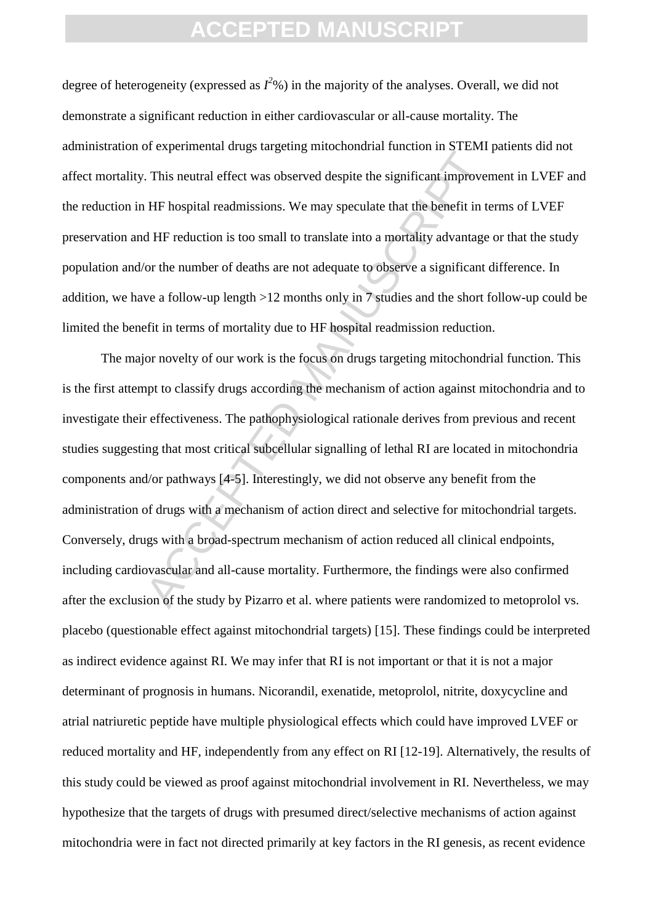degree of heterogeneity (expressed as  $I^2\%$ ) in the majority of the analyses. Overall, we did not demonstrate a significant reduction in either cardiovascular or all-cause mortality. The administration of experimental drugs targeting mitochondrial function in STEMI patients did not affect mortality. This neutral effect was observed despite the significant improvement in LVEF and the reduction in HF hospital readmissions. We may speculate that the benefit in terms of LVEF preservation and HF reduction is too small to translate into a mortality advantage or that the study population and/or the number of deaths are not adequate to observe a significant difference. In addition, we have a follow-up length >12 months only in 7 studies and the short follow-up could be limited the benefit in terms of mortality due to HF hospital readmission reduction.

This neutral effect was observed despite the significant improver<br>This neutral effect was observed despite the significant improver<br>HF hospital readmissions. We may speculate that the benefit in to<br>HF reduction is too smal The major novelty of our work is the focus on drugs targeting mitochondrial function. This is the first attempt to classify drugs according the mechanism of action against mitochondria and to investigate their effectiveness. The pathophysiological rationale derives from previous and recent studies suggesting that most critical subcellular signalling of lethal RI are located in mitochondria components and/or pathways [4-5]. Interestingly, we did not observe any benefit from the administration of drugs with a mechanism of action direct and selective for mitochondrial targets. Conversely, drugs with a broad-spectrum mechanism of action reduced all clinical endpoints, including cardiovascular and all-cause mortality. Furthermore, the findings were also confirmed after the exclusion of the study by Pizarro et al. where patients were randomized to metoprolol vs. placebo (questionable effect against mitochondrial targets) [15]. These findings could be interpreted as indirect evidence against RI. We may infer that RI is not important or that it is not a major determinant of prognosis in humans. Nicorandil, exenatide, metoprolol, nitrite, doxycycline and atrial natriuretic peptide have multiple physiological effects which could have improved LVEF or reduced mortality and HF, independently from any effect on RI [12-19]. Alternatively, the results of this study could be viewed as proof against mitochondrial involvement in RI. Nevertheless, we may hypothesize that the targets of drugs with presumed direct/selective mechanisms of action against mitochondria were in fact not directed primarily at key factors in the RI genesis, as recent evidence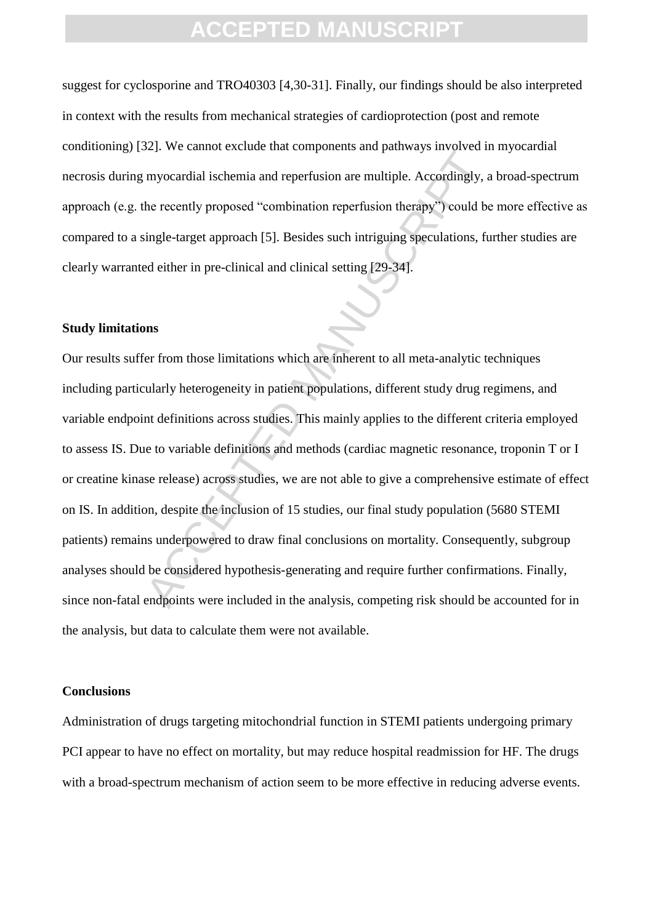suggest for cyclosporine and TRO40303 [4,30-31]. Finally, our findings should be also interpreted in context with the results from mechanical strategies of cardioprotection (post and remote conditioning) [32]. We cannot exclude that components and pathways involved in myocardial necrosis during myocardial ischemia and reperfusion are multiple. Accordingly, a broad-spectrum approach (e.g. the recently proposed "combination reperfusion therapy") could be more effective as compared to a single-target approach [5]. Besides such intriguing speculations, further studies are clearly warranted either in pre-clinical and clinical setting [29-34].

#### **Study limitations**

Expressional ischemia and reperfusion are multiple. Accordingly, and myocardial ischemia and reperfusion are multiple. Accordingly, the recently proposed "combination reperfusion therapy") could be imple-target approach [5 Our results suffer from those limitations which are inherent to all meta-analytic techniques including particularly heterogeneity in patient populations, different study drug regimens, and variable endpoint definitions across studies. This mainly applies to the different criteria employed to assess IS. Due to variable definitions and methods (cardiac magnetic resonance, troponin T or I or creatine kinase release) across studies, we are not able to give a comprehensive estimate of effect on IS. In addition, despite the inclusion of 15 studies, our final study population (5680 STEMI patients) remains underpowered to draw final conclusions on mortality. Consequently, subgroup analyses should be considered hypothesis-generating and require further confirmations. Finally, since non-fatal endpoints were included in the analysis, competing risk should be accounted for in the analysis, but data to calculate them were not available.

#### **Conclusions**

Administration of drugs targeting mitochondrial function in STEMI patients undergoing primary PCI appear to have no effect on mortality, but may reduce hospital readmission for HF. The drugs with a broad-spectrum mechanism of action seem to be more effective in reducing adverse events.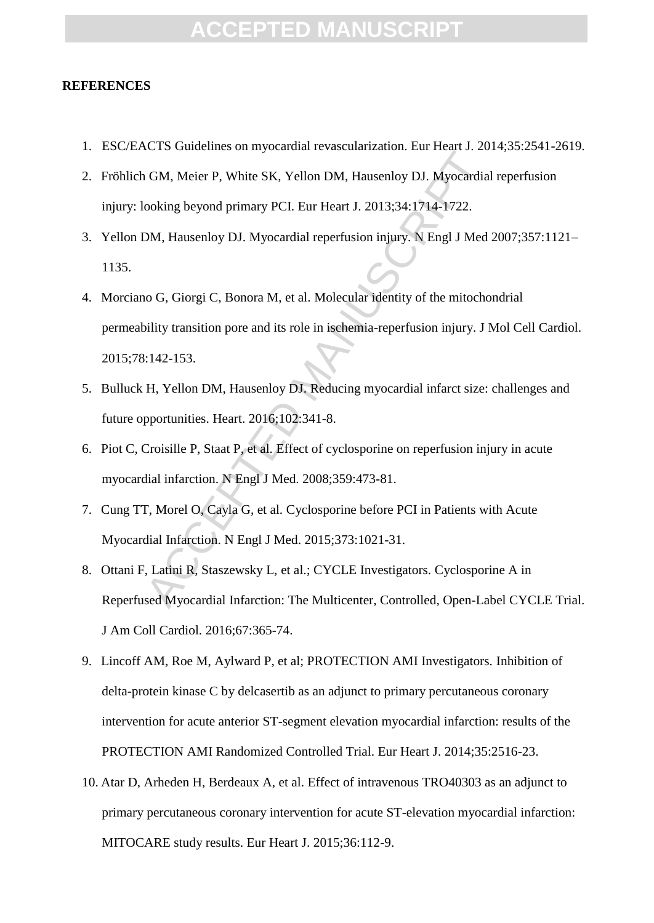#### **REFERENCES**

- 1. ESC/EACTS Guidelines on myocardial revascularization. Eur Heart J. 2014;35:2541-2619.
- 2. Fröhlich GM, Meier P, White SK, Yellon DM, Hausenloy DJ. Myocardial reperfusion injury: looking beyond primary PCI. Eur Heart J. 2013;34:1714-1722.
- 3. Yellon DM, Hausenloy DJ. Myocardial reperfusion injury. N Engl J Med 2007;357:1121– 1135.
- 14 Martin 2 and the Martin 2 matematical and the Martinskinskins (GM, Meier P, White SK, Yellon DM, Hausenloy DJ. Myocardia cooking beyond primary PCI. Eur Heart J. 2013;34:1714-1722.<br>DM, Hausenloy DJ. Myocardial reperfusi 4. Morciano G, Giorgi C, Bonora M, et al. Molecular identity of the mitochondrial permeability transition pore and its role in ischemia-reperfusion injury. J Mol Cell Cardiol. 2015;78:142-153.
- 5. Bulluck H, Yellon DM, Hausenloy DJ. Reducing myocardial infarct size: challenges and future opportunities. Heart. 2016;102:341-8.
- 6. Piot C, Croisille P, Staat P, et al. Effect of cyclosporine on reperfusion injury in acute myocardial infarction. N Engl J Med. 2008;359:473-81.
- 7. Cung TT, Morel O, Cayla G, et al. Cyclosporine before PCI in Patients with Acute Myocardial Infarction. N Engl J Med. 2015;373:1021-31.
- 8. Ottani F, Latini R, Staszewsky L, et al.; CYCLE Investigators. Cyclosporine A in Reperfused Myocardial Infarction: The Multicenter, Controlled, Open-Label CYCLE Trial. J Am Coll Cardiol. 2016;67:365-74.
- 9. Lincoff AM, Roe M, Aylward P, et al; PROTECTION AMI Investigators. Inhibition of delta-protein kinase C by delcasertib as an adjunct to primary percutaneous coronary intervention for acute anterior ST-segment elevation myocardial infarction: results of the PROTECTION AMI Randomized Controlled Trial. Eur Heart J. 2014;35:2516-23.
- 10. Atar D, Arheden H, Berdeaux A, et al. Effect of intravenous TRO40303 as an adjunct to primary percutaneous coronary intervention for acute ST-elevation myocardial infarction: MITOCARE study results. Eur Heart J. 2015;36:112-9.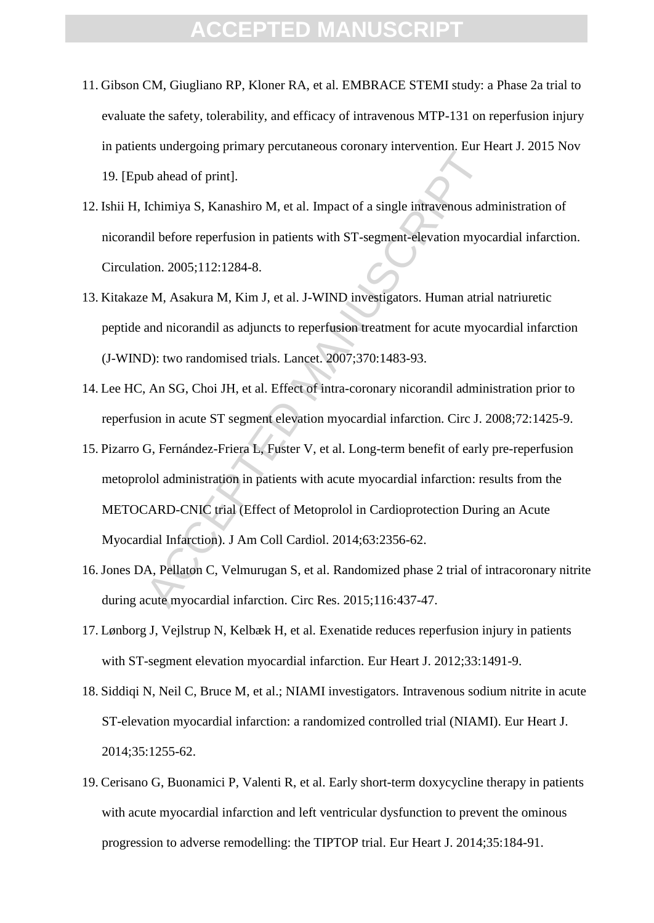- 11. Gibson CM, Giugliano RP, Kloner RA, et al. EMBRACE STEMI study: a Phase 2a trial to evaluate the safety, tolerability, and efficacy of intravenous MTP-131 on reperfusion injury in patients undergoing primary percutaneous coronary intervention. Eur Heart J. 2015 Nov 19. [Epub ahead of print].
- 12. Ishii H, Ichimiya S, Kanashiro M, et al. Impact of a single intravenous administration of nicorandil before reperfusion in patients with ST-segment-elevation myocardial infarction. Circulation. 2005;112:1284-8.
- 13. Kitakaze M, Asakura M, Kim J, et al. J-WIND investigators. Human atrial natriuretic peptide and nicorandil as adjuncts to reperfusion treatment for acute myocardial infarction (J-WIND): two randomised trials. Lancet. 2007;370:1483-93.
- 14. Lee HC, An SG, Choi JH, et al. Effect of intra-coronary nicorandil administration prior to reperfusion in acute ST segment elevation myocardial infarction. Circ J. 2008;72:1425-9.
- International of print. The all Hinduity States and the meta-<br>
and of print].<br>
Ichimiya S, Kanashiro M, et al. Impact of a single intravenous addil<br>
idil before reperfusion in patients with ST-segment-elevation myod<br>
ion. 15. Pizarro G, Fernández-Friera L, Fuster V, et al. Long-term benefit of early pre-reperfusion metoprolol administration in patients with acute myocardial infarction: results from the METOCARD-CNIC trial (Effect of Metoprolol in Cardioprotection During an Acute Myocardial Infarction). J Am Coll Cardiol. 2014;63:2356-62.
- 16. Jones DA, Pellaton C, Velmurugan S, et al. Randomized phase 2 trial of intracoronary nitrite during acute myocardial infarction. Circ Res. 2015;116:437-47.
- 17. Lønborg J, Vejlstrup N, Kelbæk H, et al. Exenatide reduces reperfusion injury in patients with ST-segment elevation myocardial infarction. Eur Heart J. 2012;33:1491-9.
- 18. Siddiqi N, Neil C, Bruce M, et al.; NIAMI investigators. Intravenous sodium nitrite in acute ST-elevation myocardial infarction: a randomized controlled trial (NIAMI). Eur Heart J. 2014;35:1255-62.
- 19. Cerisano G, Buonamici P, Valenti R, et al. Early short-term doxycycline therapy in patients with acute myocardial infarction and left ventricular dysfunction to prevent the ominous progression to adverse remodelling: the TIPTOP trial. Eur Heart J. 2014;35:184-91.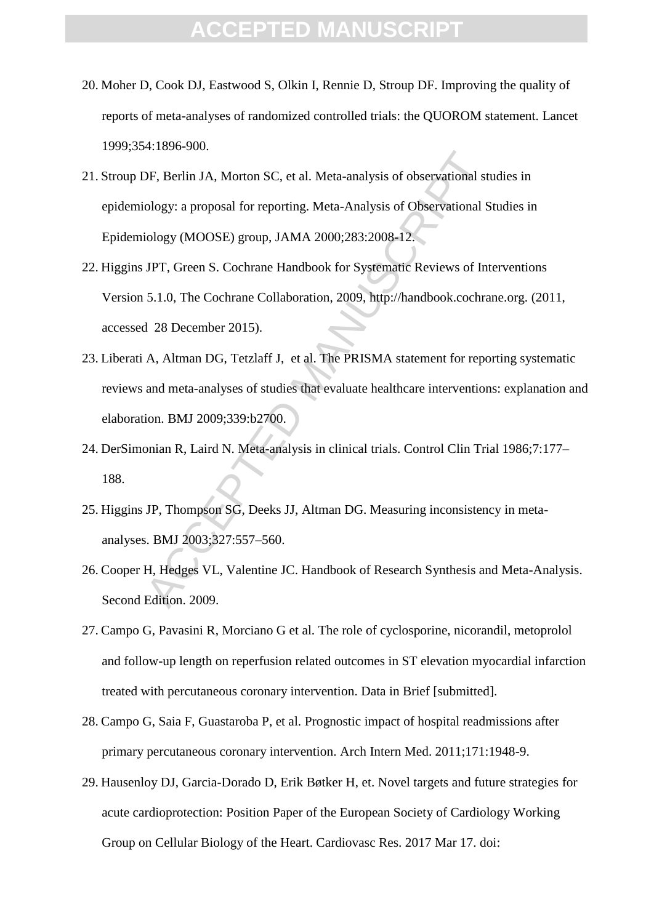- 20. Moher D, Cook DJ, Eastwood S, Olkin I, Rennie D, Stroup DF. Improving the quality of reports of meta-analyses of randomized controlled trials: the QUOROM statement. Lancet 1999;354:1896-900.
- THE TRIM JA, Morton SC, et al. Meta-analysis of observational st<br>ology: a proposal for reporting. Meta-Analysis of Observational S<br>iology (MOOSE) group, JAMA 2000;283:2008-12.<br>JPT, Green S. Cochrane Handbook for Systematic 21. Stroup DF, Berlin JA, Morton SC, et al. Meta-analysis of observational studies in epidemiology: a proposal for reporting. Meta-Analysis of Observational Studies in Epidemiology (MOOSE) group, JAMA 2000;283:2008-12.
- 22. Higgins JPT, Green S. Cochrane Handbook for Systematic Reviews of Interventions Version 5.1.0, The Cochrane Collaboration, 2009, http://handbook.cochrane.org. (2011, accessed 28 December 2015).
- 23. Liberati A, Altman DG, Tetzlaff J, et al. The PRISMA statement for reporting systematic reviews and meta-analyses of studies that evaluate healthcare interventions: explanation and elaboration. BMJ 2009;339:b2700.
- 24. DerSimonian R, Laird N. Meta-analysis in clinical trials. Control Clin Trial 1986;7:177– 188.
- 25. Higgins JP, Thompson SG, Deeks JJ, Altman DG. Measuring inconsistency in metaanalyses. BMJ 2003;327:557–560.
- 26. Cooper H, Hedges VL, Valentine JC. Handbook of Research Synthesis and Meta-Analysis. Second Edition. 2009.
- 27. Campo G, Pavasini R, Morciano G et al. The role of cyclosporine, nicorandil, metoprolol and follow-up length on reperfusion related outcomes in ST elevation myocardial infarction treated with percutaneous coronary intervention. Data in Brief [submitted].
- 28. Campo G, Saia F, Guastaroba P, et al. Prognostic impact of hospital readmissions after primary percutaneous coronary intervention. Arch Intern Med. 2011;171:1948-9.
- 29. Hausenloy DJ, Garcia-Dorado D, Erik Bøtker H, et. Novel targets and future strategies for acute cardioprotection: Position Paper of the European Society of Cardiology Working Group on Cellular Biology of the Heart. Cardiovasc Res. 2017 Mar 17. doi: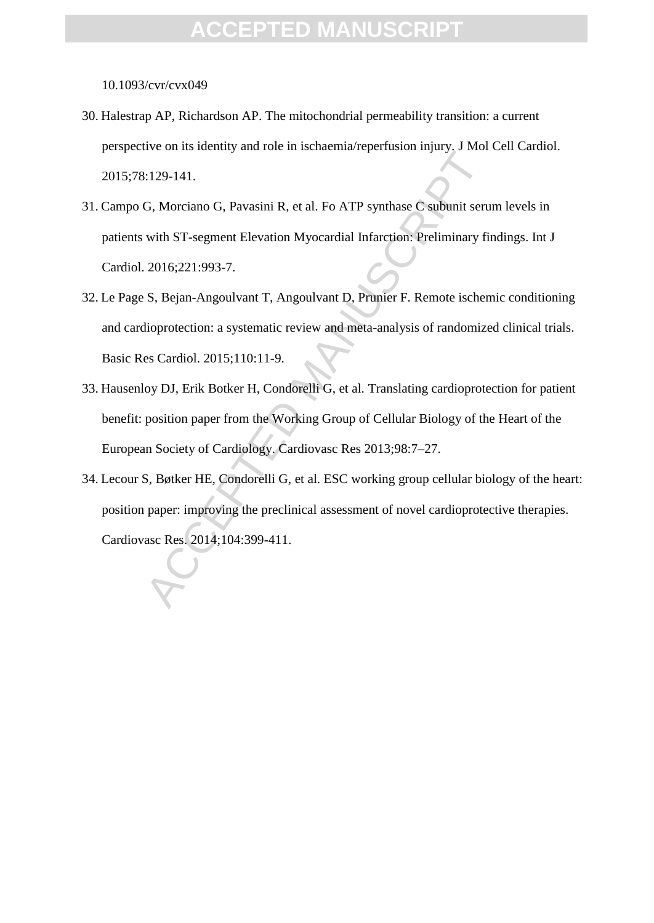#### 10.1093/cvr/cvx049

- 30. Halestrap AP, Richardson AP. The mitochondrial permeability transition: a current perspective on its identity and role in ischaemia/reperfusion injury. J Mol Cell Cardiol. 2015;78:129-141.
- 31. Campo G, Morciano G, Pavasini R, et al. Fo ATP synthase C subunit serum levels in patients with ST-segment Elevation Myocardial Infarction: Preliminary findings. Int J Cardiol. 2016;221:993-7.
- 1:129-141.<br>
G, Morciano G, Pavasini R, et al. Fo ATP synthase C subunit servith ST-segment Elevation Myocardial Infarction: Preliminary fi<br>
2016;221:993-7.<br>
S, Bejan-Angoulvant T, Angoulvant D, Prunier F. Remote ischere li 32. Le Page S, Bejan-Angoulvant T, Angoulvant D, Prunier F. Remote ischemic conditioning and cardioprotection: a systematic review and meta-analysis of randomized clinical trials. Basic Res Cardiol. 2015;110:11-9.
- 33. Hausenloy DJ, Erik Botker H, Condorelli G, et al. Translating cardioprotection for patient benefit: position paper from the Working Group of Cellular Biology of the Heart of the European Society of Cardiology. Cardiovasc Res 2013;98:7–27.
- 34. Lecour S, Bøtker HE, Condorelli G, et al. ESC working group cellular biology of the heart: position paper: improving the preclinical assessment of novel cardioprotective therapies. Cardiovasc Res. 2014;104:399-411.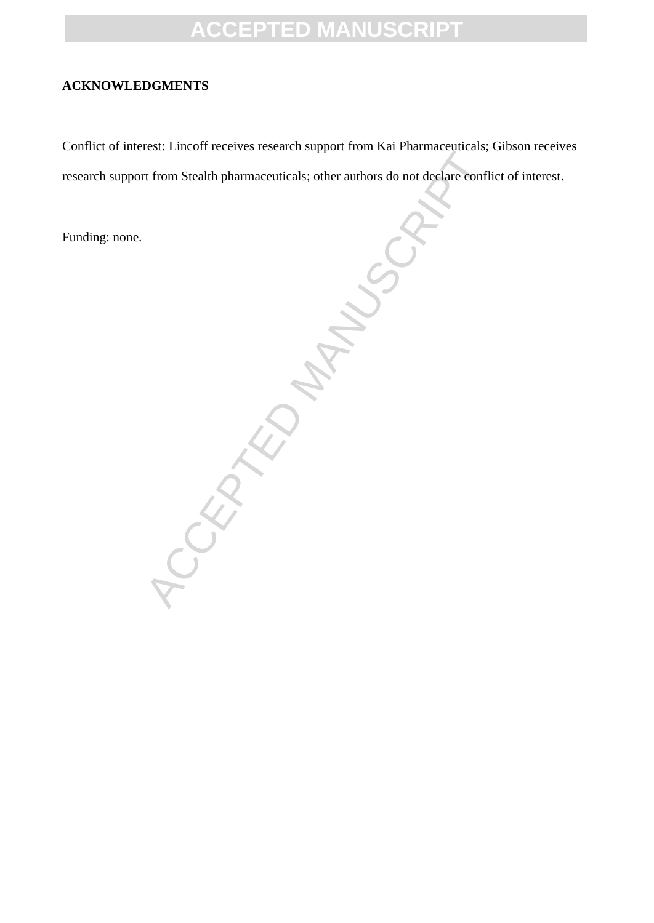### **ACKNOWLEDGMENTS**

Conflict of interest: Lincoff receives research support from Kai Pharmaceuticals; Gibson receives research support from Stealth pharmaceuticals; other authors do not declare conflict of interest.

Funding: none.

**CEPTED MANUSCRIPT**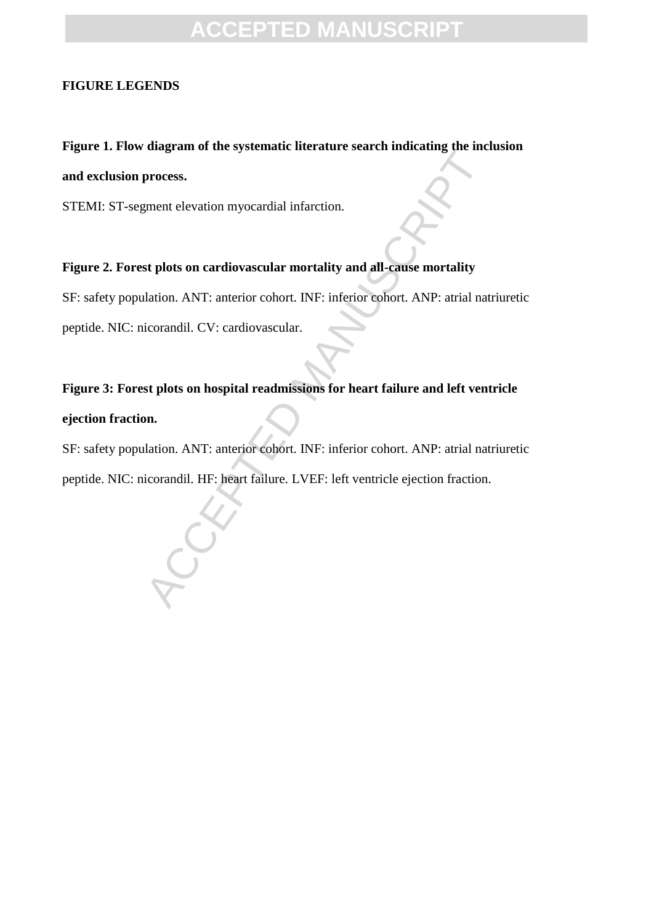### **FIGURE LEGENDS**

**Figure 1. Flow diagram of the systematic literature search indicating the inclusion** 

#### **and exclusion process.**

STEMI: ST-segment elevation myocardial infarction.

### **Figure 2. Forest plots on cardiovascular mortality and all-cause mortality**

SF: safety population. ANT: anterior cohort. INF: inferior cohort. ANP: atrial natriuretic

peptide. NIC: nicorandil. CV: cardiovascular.

### **Figure 3: Forest plots on hospital readmissions for heart failure and left ventricle ejection fraction.**

Example of the Systematic intratation state in intriduces process.<br>
Experience devation myocardial infarction.<br>
ACCEPTE MANUSCRIPT STATE: inferior cohort. ANP: atrial nationalil. CV: cardiovascular.<br>
ACCEPTE MANUSCRIPT STA SF: safety population. ANT: anterior cohort. INF: inferior cohort. ANP: atrial natriuretic peptide. NIC: nicorandil. HF: heart failure. LVEF: left ventricle ejection fraction.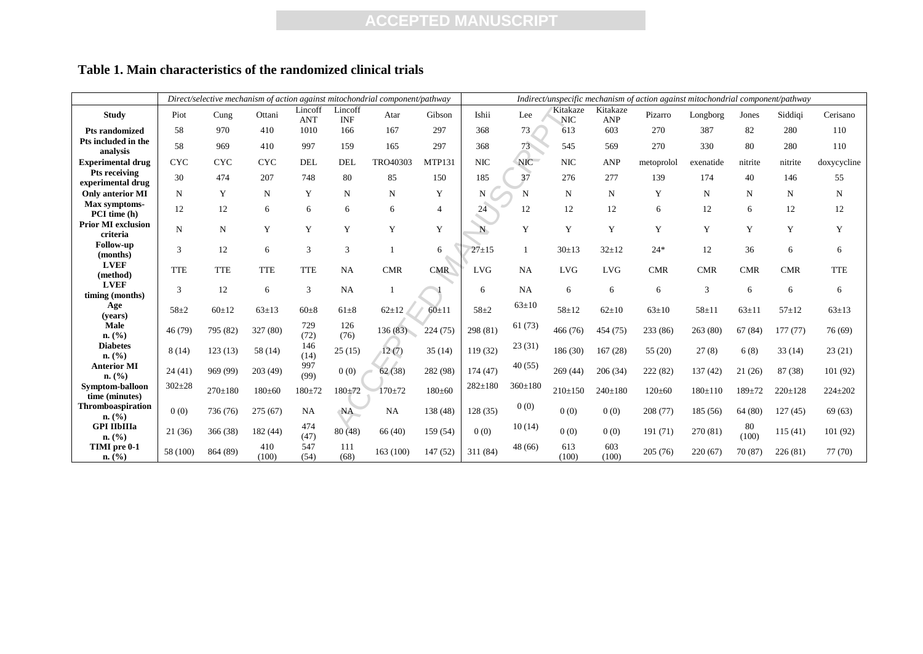|                                          | Direct/selective mechanism of action against mitochondrial component/pathway |               |              |                       |                       |            | Indirect/unspecific mechanism of action against mitochondrial component/pathway |               |               |                        |                 |              |             |             |               |               |
|------------------------------------------|------------------------------------------------------------------------------|---------------|--------------|-----------------------|-----------------------|------------|---------------------------------------------------------------------------------|---------------|---------------|------------------------|-----------------|--------------|-------------|-------------|---------------|---------------|
| <b>Study</b>                             | Piot                                                                         | Cung          | Ottani       | Lincoff<br><b>ANT</b> | Lincoff<br><b>INF</b> | Atar       | Gibson                                                                          | Ishii         | Lee           | Kitakaze<br><b>NIC</b> | Kitakaze<br>ANP | Pizarro      | Longborg    | Jones       | Siddigi       | Cerisano      |
| <b>Pts randomized</b>                    | 58                                                                           | 970           | 410          | 1010                  | 166                   | 167        | 297                                                                             | 368           | 73            | 613                    | 603             | 270          | 387         | 82          | 280           | 110           |
| Pts included in the<br>analysis          | 58                                                                           | 969           | 410          | 997                   | 159                   | 165        | 297                                                                             | 368           | $73 -$        | 545                    | 569             | 270          | 330         | 80          | 280           | 110           |
| <b>Experimental drug</b>                 | <b>CYC</b>                                                                   | <b>CYC</b>    | <b>CYC</b>   | <b>DEL</b>            | <b>DEL</b>            | TRO40303   | <b>MTP131</b>                                                                   | <b>NIC</b>    | NIC-          | NIC                    | <b>ANP</b>      | metoprolol   | exenatide   | nitrite     | nitrite       | doxycycline   |
| Pts receiving<br>experimental drug       | 30                                                                           | 474           | 207          | 748                   | 80                    | 85         | 150                                                                             | 185           | 37            | 276                    | 277             | 139          | 174         | 40          | 146           | 55            |
| <b>Only anterior MI</b>                  | N                                                                            | Y             | N            | Y                     | N                     | N          | Y                                                                               | N             | N             | N                      | N               | Y            | $\mathbf N$ | $\mathbf N$ | N             | N             |
| Max symptoms-<br>PCI time (h)            | 12                                                                           | 12            | 6            | 6                     | 6                     | 6          | 4                                                                               | 24            | 12            | 12                     | 12              | 6            | 12          | 6           | 12            | 12            |
| <b>Prior MI exclusion</b><br>criteria    | N                                                                            | N             | Y            | Y                     | Y                     | Y          | Y                                                                               | $\mathbf N$   | Y             | Y                      | Y               | Y            | Y           | Y           | Y             | Y             |
| <b>Follow-up</b><br>(months)             | 3                                                                            | 12            | 6            | 3                     | 3                     |            | 6                                                                               | $27 + 15$     |               | $30 \pm 13$            | $32 \pm 12$     | $24*$        | 12          | 36          | 6             | 6             |
| <b>LVEF</b><br>(method)                  | <b>TTE</b>                                                                   | <b>TTE</b>    | <b>TTE</b>   | <b>TTE</b>            | <b>NA</b>             | <b>CMR</b> | <b>CMR</b>                                                                      | <b>LVG</b>    | NA            | <b>LVG</b>             | <b>LVG</b>      | <b>CMR</b>   | <b>CMR</b>  | <b>CMR</b>  | <b>CMR</b>    | <b>TTE</b>    |
| <b>LVEF</b>                              | 3                                                                            | 12            | 6            | 3                     | <b>NA</b>             |            |                                                                                 | 6             | <b>NA</b>     | 6                      | 6               | 6            | 3           | 6           | 6             | 6             |
| timing (months)<br>Age                   |                                                                              |               |              |                       |                       |            |                                                                                 |               | $63 \pm 10$   |                        |                 |              |             |             |               |               |
| (years)                                  | $58 + 2$                                                                     | $60 \pm 12$   | $63 \pm 13$  | $60\pm8$              | $61\pm8$              | $62 + 12$  | $60 \pm 11$                                                                     | $58 + 2$      |               | $58 + 12$              | $62 \pm 10$     | $63 \pm 10$  | $58 + 11$   | $63 \pm 11$ | $57 + 12$     | $63 \pm 13$   |
| Male<br>n. (%)                           | 46 (79)                                                                      | 795 (82)      | 327 (80)     | 729<br>(72)           | 126<br>(76)           | 136(83)    | 224(75)                                                                         | 298 (81)      | 61(73)        | 466 (76)               | 454 (75)        | 233 (86)     | 263(80)     | 67(84)      | 177(77)       | 76 (69)       |
| <b>Diabetes</b><br>n. (%)                | 8(14)                                                                        | 123(13)       | 58 (14)      | 146<br>(14)           | 25(15)                | 12(7)      | 35(14)                                                                          | 119 (32)      | 23(31)        | 186 (30)               | 167(28)         | 55(20)       | 27(8)       | 6(8)        | 33(14)        | 23(21)        |
| <b>Anterior MI</b><br>n. (%)             | 24(41)                                                                       | 969 (99)      | 203(49)      | 997<br>(99)           | 0(0)                  | 62(38)     | 282 (98)                                                                        | 174(47)       | 40(55)        | 269(44)                | 206(34)         | 222 (82)     | 137 (42)    | 21(26)      | 87 (38)       | 101(92)       |
| <b>Symptom-balloon</b><br>time (minutes) | $302 \pm 28$                                                                 | $270 \pm 180$ | $180+60$     | $180 + 72$            | $180 + 72$            | $170 + 72$ | $180 \pm 60$                                                                    | $282 \pm 180$ | $360 \pm 180$ | $210 \pm 150$          | $240 \pm 180$   | $120 \pm 60$ | 180±110     | 189±72      | $220 \pm 128$ | $224 \pm 202$ |
| Thromboaspiration<br>n. (%)              | 0(0)                                                                         | 736 (76)      | 275(67)      | NA                    | NA                    | NA         | 138 (48)                                                                        | 128(35)       | 0(0)          | 0(0)                   | 0(0)            | 208 (77)     | 185 (56)    | 64 (80)     | 127(45)       | 69(63)        |
| <b>GPI IIbIIIa</b><br>n. (%)             | 21(36)                                                                       | 366 (38)      | 182 (44)     | 474<br>(47)           | 80(48)                | 66(40)     | 159 (54)                                                                        | 0(0)          | 10(14)        | 0(0)                   | 0(0)            | 191 (71)     | 270 (81)    | 80<br>(100) | 115(41)       | 101 (92)      |
| TIMI pre 0-1<br>n. (%)                   | 58 (100)                                                                     | 864 (89)      | 410<br>(100) | 547<br>(54)           | 111<br>(68)           | 163 (100)  | 147(52)                                                                         | 311 (84)      | 48 (66)       | 613<br>(100)           | 603<br>(100)    | 205 (76)     | 220(67)     | 70 (87)     | 226(81)       | 77 (70)       |

### **Table 1. Main characteristics of the randomized clinical trials**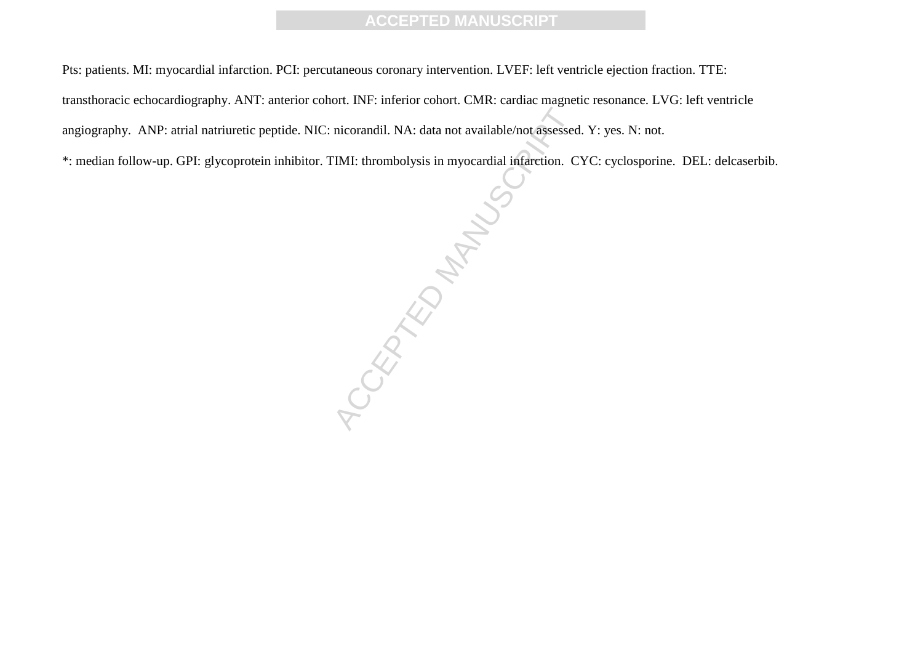Pts: patients. MI: myocardial infarction. PCI: percutaneous coronary intervention. LVEF: left ventricle ejection fraction. TTE: transthoracic echocardiography. ANT: anterior cohort. INF: inferior cohort. CMR: cardiac magnetic resonance. LVG: left ventricle angiography. ANP: atrial natriuretic peptide. NIC: nicorandil. NA: data not available/not assessed. Y: yes. N: not.

\*: median follow-up. GPI: glycoprotein inhibitor. TIMI: thrombolysis in myocardial infarction. CYC: cyclosporine. DEL: delcaserbib.

S in myocardial interes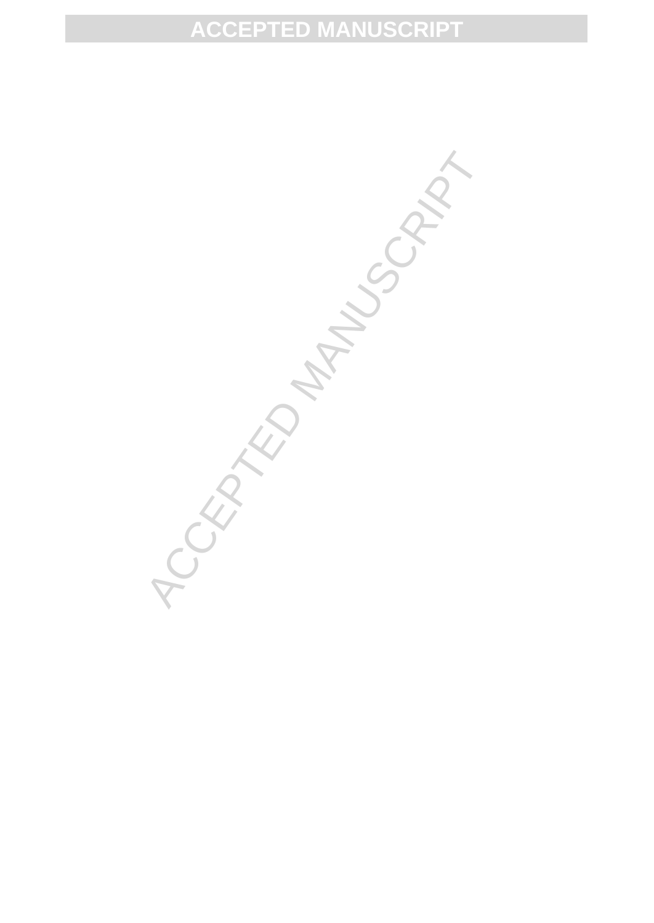ACCEPTED MANUSCRIPT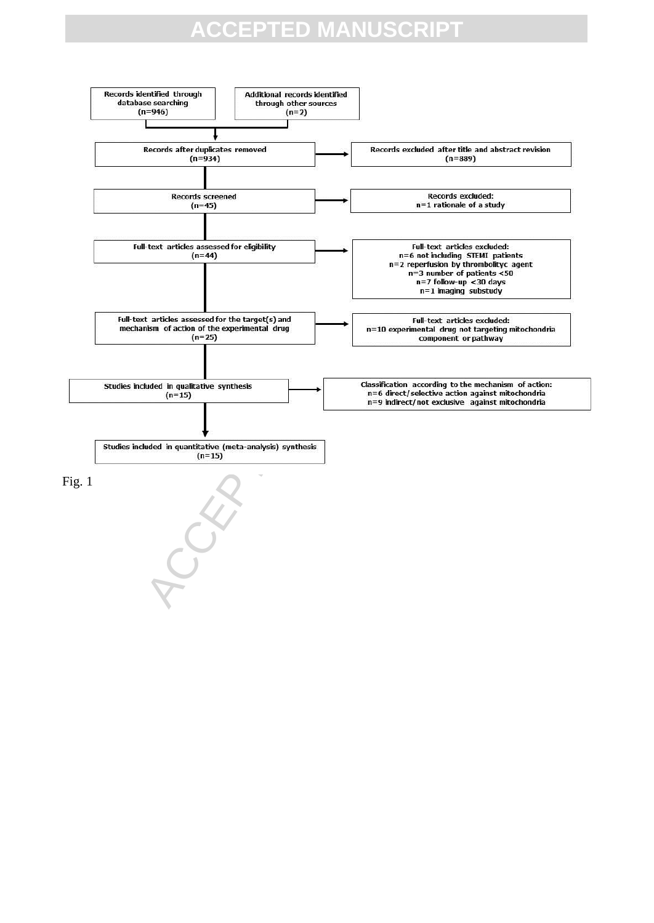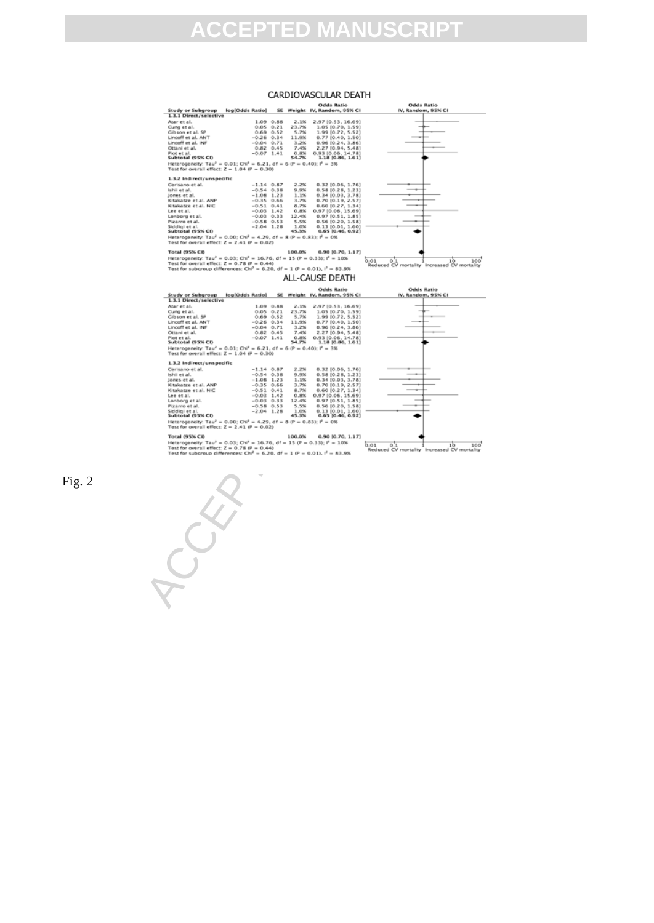#### CARDIOVASCULAR DEATH

|                                                                                                                                                              |                              |               |               | Odds Ratio                               | <b>Odds Ratio</b>                                                       |  |  |  |
|--------------------------------------------------------------------------------------------------------------------------------------------------------------|------------------------------|---------------|---------------|------------------------------------------|-------------------------------------------------------------------------|--|--|--|
| Study or Subgroup                                                                                                                                            | log[Odds Ratio]              |               |               | SE Weight IV, Random, 95% CI             | IV, Random, 95% CI                                                      |  |  |  |
| 1.3.1 Direct/selective                                                                                                                                       |                              |               |               |                                          |                                                                         |  |  |  |
| Atar et al.                                                                                                                                                  |                              | 1.09 0.88     | 2.1%          | 2.97 [0.53, 16.69]                       |                                                                         |  |  |  |
| Cung et al.                                                                                                                                                  |                              | $0.05$ $0.21$ | 23.7%         | 1.05 [0.70, 1.59]                        |                                                                         |  |  |  |
| Gibson et al. SP                                                                                                                                             |                              | $0.69$ $0.52$ | 5.7%          | 1.99 [0.72, 5.52]                        |                                                                         |  |  |  |
| Lincoff et al. ANT                                                                                                                                           | $-0.26$ $0.34$               |               | 11.9%         | $0.77$ [0.40, 1.50]                      |                                                                         |  |  |  |
| Lincoff et al. INF                                                                                                                                           | $-0.04$ $0.71$               |               | 3.2%<br>7.4%  | $0.96$ [ $0.24$ , $3.86$ ]               |                                                                         |  |  |  |
| Ottani et al.<br>Piot et al.                                                                                                                                 | $-0.07$ 1.41                 | $0.82$ $0.45$ | 0.8%          | 2.27[0.94, 5.48]<br>$0.93$ [0.06, 14.78] |                                                                         |  |  |  |
| Subtotal (95% CI)                                                                                                                                            |                              |               | 54.7%         | 1.18 [0.86, 1.61]                        |                                                                         |  |  |  |
| Heterogeneity: Tau <sup>2</sup> = 0.01; Chi <sup>2</sup> = 6.21, df = 6 (P = 0.40); $I^2$ = 3%                                                               |                              |               |               |                                          |                                                                         |  |  |  |
| Test for overall effect: $Z = 1.04$ (P = 0.30)                                                                                                               |                              |               |               |                                          |                                                                         |  |  |  |
| 1.3.2 Indirect/unspecific                                                                                                                                    |                              |               |               |                                          |                                                                         |  |  |  |
| Cerisano et al.                                                                                                                                              | $-1.14$ $0.87$               |               | 2.2%          | $0.32$ [0.06, 1.76]                      |                                                                         |  |  |  |
| Ishii et al.                                                                                                                                                 | $-0.54$ $0.38$               |               | 9.9%          | $0.58$ [ $0.28$ , $1.23$ ]               |                                                                         |  |  |  |
| Jones et al.                                                                                                                                                 | $-1.08$ 1.23                 |               | 1.1%          | 0.34 [0.03, 3.78]                        |                                                                         |  |  |  |
| Kitakatze et al. ANP                                                                                                                                         | $-0.35$ 0.66                 |               | 3.7%          | 0.70 [0.19, 2.57]                        |                                                                         |  |  |  |
| Kitakatze et al. NIC                                                                                                                                         | $-0.51$ $0.41$               |               | 8.7%          | 0.60 [0.27, 1.34]                        |                                                                         |  |  |  |
| Lee et al.                                                                                                                                                   | $-0.03$ 1.42                 |               | 0.8%          | 0.97 (0.06, 15.69)                       |                                                                         |  |  |  |
| Lonborg et al.                                                                                                                                               | $-0.03$ $0.33$               |               | 12.4%         | 0.97 [0.51, 1.85]                        |                                                                         |  |  |  |
| Pizarro et al.                                                                                                                                               | $-0.58$ $0.53$               |               | 5.5%          | $0.56$ [ $0.20, 1.58$ ]                  |                                                                         |  |  |  |
| Siddigi et al.<br>Subtotal (95% CI)                                                                                                                          | $-2.04$ 1.28                 |               | 1.0%<br>45.3% | $0.13$ [0.01, 1.60]<br>0.65 [0.46, 0.92] |                                                                         |  |  |  |
| Heterogeneity: Tau <sup>2</sup> = 0.00; Chi <sup>2</sup> = 4.29, df = 8 (P = 0.83); $I^2$ = 0%                                                               |                              |               |               |                                          |                                                                         |  |  |  |
| Test for overall effect: $Z = 2.41$ (P = 0.02)                                                                                                               |                              |               |               |                                          |                                                                         |  |  |  |
| <b>Total (95% CI)</b>                                                                                                                                        |                              |               | 100.0%        | 0.90 [0.70, 1.17]                        |                                                                         |  |  |  |
| Heterogeneity: Tau <sup>2</sup> = 0.03; Chi <sup>2</sup> = 16.76, df = 15 (P = 0.33); l <sup>2</sup> = 10%                                                   |                              |               |               |                                          | 0.01<br>100<br>1ò<br>0.1                                                |  |  |  |
| Test for overall effect: $Z = 0.78$ (P = 0.44)                                                                                                               |                              |               |               |                                          | Reduced CV mortality Increased CV mortality                             |  |  |  |
| Test for subgroup differences: Chi <sup>2</sup> = 6.20, df = 1 (P = 0.01), $I^2$ = 83.9%                                                                     |                              |               |               |                                          |                                                                         |  |  |  |
|                                                                                                                                                              |                              |               |               |                                          |                                                                         |  |  |  |
| ALL-CAUSE DEATH                                                                                                                                              |                              |               |               |                                          |                                                                         |  |  |  |
|                                                                                                                                                              |                              |               |               |                                          |                                                                         |  |  |  |
|                                                                                                                                                              |                              |               |               | Odds Ratio                               | Odds Ratio                                                              |  |  |  |
| Study or Subgroup                                                                                                                                            | log[Odds Ratio]              |               |               | SE Weight IV, Random, 95% CI             | IV, Random, 95% CI                                                      |  |  |  |
| 1.3.1 Direct/selective                                                                                                                                       |                              |               |               |                                          |                                                                         |  |  |  |
| Atar et al.                                                                                                                                                  |                              | 1.09 0.88     | 2.1%          | 2.97 [0.53, 16.69]                       |                                                                         |  |  |  |
| Cung et al.                                                                                                                                                  |                              | $0.05$ $0.21$ | 23.7%         | 1.05 [0.70, 1.59]                        |                                                                         |  |  |  |
| Gibson et al. SP                                                                                                                                             |                              | $0.69$ $0.52$ | 5.7%          | 1.99 [0.72, 5.52]                        |                                                                         |  |  |  |
| Lincoff et al. ANT                                                                                                                                           | $-0.26$ 0.34                 |               | 11.9%         | $0.77$ [0.40, 1.50]                      |                                                                         |  |  |  |
| Lincoff et al. INF                                                                                                                                           | $-0.04$ $0.71$               |               | 3.2%          | $0.96$ $[0.24, 3.86]$                    |                                                                         |  |  |  |
| Ottani et al.                                                                                                                                                |                              | $0.82$ $0.45$ | 7.4%          | 2.27[0.94, 5.48]                         |                                                                         |  |  |  |
| Piot et al.                                                                                                                                                  | $-0.07$ 1.41                 |               | 0.8%          | $0.93$ $[0.06, 14.78]$                   |                                                                         |  |  |  |
| Subtotal (95% CI)                                                                                                                                            |                              |               | 54.7%         | 1.18 [0.86, 1.61]                        |                                                                         |  |  |  |
| Heterogeneity: Tau <sup>2</sup> = 0.01; Chi <sup>2</sup> = 6.21, df = 6 (P = 0.40); $I^2$ = 3%<br>Test for overall effect: $Z = 1.04$ (P = 0.30)             |                              |               |               |                                          |                                                                         |  |  |  |
| 1.3.2 Indirect/unspecific                                                                                                                                    |                              |               |               |                                          |                                                                         |  |  |  |
|                                                                                                                                                              |                              |               |               |                                          |                                                                         |  |  |  |
| Cerisano et al.<br>Ishii et al.                                                                                                                              | $-1.14$ 0.87                 |               | 2.2%          | $0.32$ [0.06, 1.76]                      |                                                                         |  |  |  |
| Jones et al.                                                                                                                                                 | $-0.54$ $0.38$               |               | 9.9%<br>1.1%  | $0.58$ [ $0.28$ , $1.23$ ]               |                                                                         |  |  |  |
| Kitakatze et al. ANP                                                                                                                                         | $-1.08$ 1.23<br>$-0.35$ 0.66 |               | 3.7%          | 0.34 [0.03, 3.78]<br>0.70 [0.19, 2.57]   |                                                                         |  |  |  |
| Kitakatze et al. NIC                                                                                                                                         | $-0.51$ $0.41$               |               | 8.7%          | 0.60 [0.27, 1.34]                        |                                                                         |  |  |  |
| Lee et al.                                                                                                                                                   | $-0.03$ 1.42                 |               | 0.8%          | 0.97 (0.06, 15.69)                       |                                                                         |  |  |  |
| Lonborg et al.                                                                                                                                               | $-0.03$ $0.33$               |               | 12.4%         | $0.97$ [0.51, 1.85]                      |                                                                         |  |  |  |
| Pizarro et al.                                                                                                                                               | $-0.58$ $0.53$               |               | 5.5%          | $0.56$ [ $0.20, 1.58$ ]                  |                                                                         |  |  |  |
| Siddigi et al.                                                                                                                                               | $-2.04$ 1.28                 |               | 1.0%          | $0.13$ [0.01, 1.60]                      |                                                                         |  |  |  |
| Subtotal (95% CD)                                                                                                                                            |                              |               | 45.3%         | 0.65 [0.46, 0.92]                        |                                                                         |  |  |  |
| Heterogeneity: Tau <sup>2</sup> = 0.00; Chi <sup>2</sup> = 4.29, df = 8 (P = 0.83); $I^2 = 0%$<br>Test for overall effect: $Z = 2.41$ (P = 0.02)             |                              |               |               |                                          |                                                                         |  |  |  |
|                                                                                                                                                              |                              |               |               |                                          |                                                                         |  |  |  |
| Total (95% CI)                                                                                                                                               |                              |               | 100.0%        | 0.90 [0.70, 1.17]                        |                                                                         |  |  |  |
| Heterogeneity: Tau <sup>2</sup> = 0.03; Chi <sup>2</sup> = 16.76, df = 15 (P = 0.33); l <sup>2</sup> = 10%<br>Test for overall effect: $Z = 0.78$ (P = 0.44) |                              |               |               |                                          | 0.01<br>100<br>0.1<br>ıò<br>Reduced CV mortality Increased CV mortality |  |  |  |

Fig. 2

PCCEPTED MANUSCRIPT